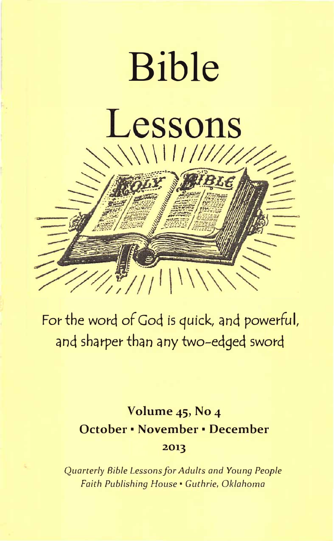

f·

For the word of God is quick, and powerful, and sharper than any two-edged sword

# Volume 45, No 4 October • November • December 2013

Quarterly Bible Lessons for Adults and Young People Faith Publishing House • Guthrie, Oklahoma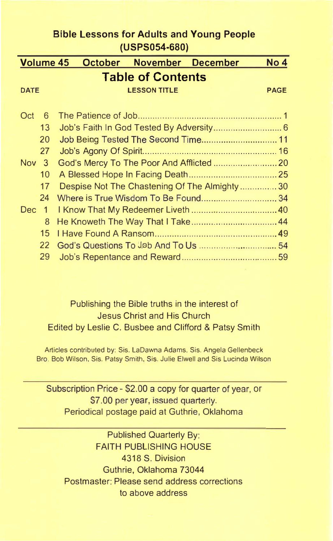|                  | <b>Bible Lessons for Adults and Young People</b> |             |
|------------------|--------------------------------------------------|-------------|
|                  | (USPS054-680)                                    |             |
| <b>Volume 45</b> | <b>October</b><br>November December              | No 4        |
|                  | <b>Table of Contents</b>                         |             |
| <b>DATE</b>      | <b>LESSON TITLE</b>                              | <b>PAGE</b> |
|                  |                                                  |             |
| Oct<br>6         |                                                  |             |
| 13               |                                                  |             |
| 20               | Job Being Tested The Second Time 11              |             |
| 27               |                                                  |             |
| Nov <sub>3</sub> | God's Mercy To The Poor And Afflicted  20        |             |
| 10               |                                                  |             |
| 17               | Despise Not The Chastening Of The Almighty30     |             |
| 24               | Where is True Wisdom To Be Found34               |             |
| Dec 1            |                                                  |             |
|                  | 8                                                |             |
| 15               |                                                  |             |
| 22               |                                                  |             |
| 29               |                                                  |             |

# Publishing the Bible truths in the interest of Jesus Christ and His Church Edited by Leslie C. Busbee and Clifford & Patsy Smith

Articles contributed by: Sis. LaDawna Adams, Sis. Angela Gellenbeck Bro. Bob Wilson, Sis. Patsy Smith, Sis. Julie Elwell and Sis Lucinda Wilson

Subscription Price - \$2.00 a copy for quarter of year, or \$7.00 per year, issued quarterly. Periodical postage paid at Guthrie, Oklahoma

Published Quarterly By: FAITH PUBLISHING HOUSE 4318 S. Division Guthrie, Oklahoma 73044 Postmaster: Please send address corrections to above address

I\_.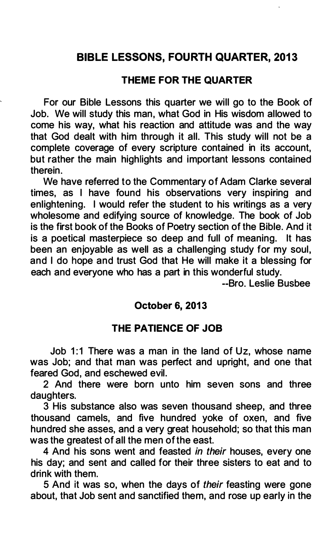# BIBLE LESSONS, FOURTH QUARTER, 2013

#### THEME FOR THE QUARTER

For our Bible Lessons this quarter we will go to the Book of Job. We will study this man, what God in His wisdom allowed to come his way, what his reaction and attitude was and the way that God dealt with him through it all. This study will not be a complete coverage of every scripture contained in its account, but rather the main highlights and important lessons contained therein.

We have referred to the Commentary of Adam Clarke several times, as I have found his observations very inspiring and enlightening. I would refer the student to his writings as a very wholesome and edifying source of knowledge. The book of Job is the first book of the Books of Poetry section of the Bible. And it is a poetical masterpiece so deep and full of meaning. It has been an enjoyable as well as a challenging study for my soul, and I do hope and trust God that He will make it a blessing for each and everyone who has a part in this wonderful study.

--Bro. Leslie Busbee

#### October 6, 2013

#### THE PATIENCE OF JOB

Job 1:1 There was a man in the land of Uz, whose name was Job; and that man was perfect and upright, and one that feared God, and eschewed evil.

2 And there were born unto him seven sons and three daughters.

3 His substance also was seven thousand sheep, and three thousand camels, and five hundred yoke of oxen, and five hundred she asses, and a very great household; so that this man was the greatest of all the men of the east.

4 And his sons went and feasted in their houses, every one his day; and sent and called for their three sisters to eat and to drink with them.

5 And it was so, when the days of their feasting were gone about, that Job sent and sanctified them, and rose up early in the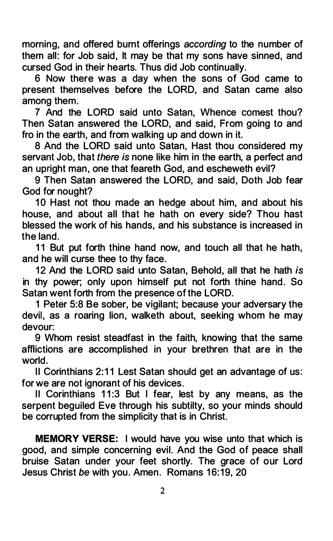morning, and offered burnt offerings according to the number of them all: for Job said, It may be that my sons have sinned, and cursed God in their hearts. Thus did Job continually.

6 Now there was a day when the sons of God came to present themselves before the LORD, and Satan came also among them.

7 And the LORD said unto Satan, Whence comest thou? Then Satan answered the LORD, and said, From going to and fro in the earth, and from walking up and down in it.

8 And the LORD said unto Satan, Hast thou considered my servant Job, that there is none like him in the earth, a perfect and an upright man, one that feareth God, and escheweth evil?

9 Then Satan answered the LORD, and said, Doth Job fear God for nought?

10 Hast not thou made an hedge about him, and about his house, and about all that he hath on every side? Thou hast blessed the work of his hands, and his substance is increased in the land.

11 But put forth thine hand now, and touch all that he hath, and he will curse thee to thy face.

12 And the LORD said unto Satan, Behold, all that he hath is in thy power; only upon himself put not forth thine hand. So Satan went forth from the presence of the LORD.

1 Peter 5:8 Be sober, be vigilant; because your adversary the devil, as a roaring lion, walketh about, seeking whom he may devour:

9 Whom resist steadfast in the faith, knowing that the same afflictions are accomplished in your brethren that are in the world.

II Corinthians 2:11 Lest Satan should get an advantage of us: for we are not ignorant of his devices.

II Corinthians 11:3 But I fear, lest by any means, as the serpent beguiled Eve through his subtilty, so your minds should be corrupted from the simplicity that is in Christ.

MEMORY VERSE: I would have you wise unto that which is good, and simple concerning evil. And the God of peace shall bruise Satan under your feet shortly. The grace of our Lord Jesus Christ be with you. Amen. Romans 16:19, 20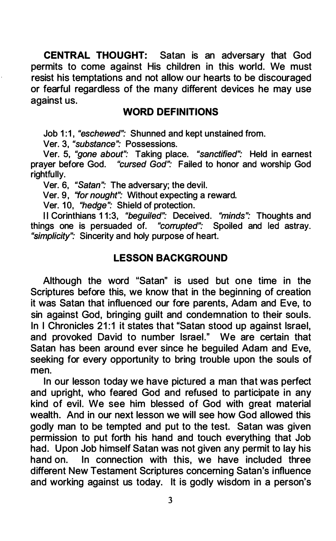CENTRAL THOUGHT: Satan is an adversary that God permits to come against His children in this world. We must resist his temptations and not allow our hearts to be discouraged or fearful regardless of the many different devices he may use against us.

#### WORD DEFINITIONS

Job 1:1, "eschewed": Shunned and kept unstained from.

Ver. 3, "substance": Possessions.

Ver. 5, "gone about": Taking place. "sanctified": Held in earnest prayer before God. "cursed God": Failed to honor and worship God rightfully.

Ver. 6, "Satan": The adversary; the devil.

Ver. 9, "for nought": Without expecting a reward.

Ver. 10, "hedge": Shield of protection.

II Corinthians 11:3, "beguiled": Deceived. "minds": Thoughts and things one is persuaded of. "corrupted": Spoiled and led astray. "simplicity": Sincerity and holy purpose of heart.

# LESSON BACKGROUND

Although the word "Satan" is used but one time in the Scriptures before this, we know that in the beginning of creation it was Satan that influenced our fore parents, Adam and Eve, to sin against God, bringing guilt and condemnation to their souls. In I Chronicles 21:1 it states that "Satan stood up against Israel, and provoked David to number Israel." We are certain that Satan has been around ever since he beguiled Adam and Eve, seeking for every opportunity to bring trouble upon the souls of men.

In our lesson today we have pictured a man that was perfect and upright, who feared God and refused to participate in any kind of evil. We see him blessed of God with great material wealth. And in our next lesson we will see how God allowed this godly man to be tempted and put to the test. Satan was given permission to put forth his hand and touch everything that Job had. Upon Job himself Satan was not given any permit to lay his hand on. In connection with this, we have included three different New Testament Scriptures concerning Satan's influence and working against us today. It is godly wisdom in a person's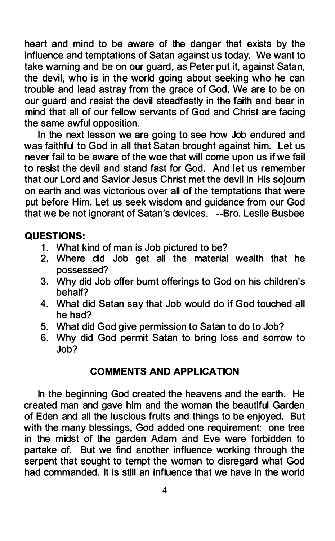heart and mind to be aware of the danger that exists by the influence and temptations of Satan against us today. We want to take warning and be on our guard, as Peter put it, against Satan, the devil, who is in the world going about seeking who he can trouble and lead astray from the grace of God. We are to be on our guard and resist the devil steadfastly in the faith and bear in mind that all of our fellow servants of God and Christ are facing the same awful opposition.

In the next lesson we are going to see how Job endured and was faithful to God in all that Satan brought against him. Let us never fail to be aware of the woe that will come upon us if we fail to resist the devil and stand fast for God. And let us remember that our Lord and Savior Jesus Christ met the devil in His sojourn on earth and was victorious over all of the temptations that were put before Him. Let us seek wisdom and guidance from our God that we be not ignorant of Satan's devices. --Bro. Leslie Busbee

### QUESTIONS:

- 1. What kind of man is Job pictured to be?
- 2. Where did Job get all the material wealth that he possessed?
- 3. Why did Job offer burnt offerings to God on his children's behalf?
- 4. What did Satan say that Job would do if God touched all he had?
- 5. What did God give permission to Satan to do to Job?
- 6. Why did God permit Satan to bring loss and sorrow to Job?

# COMMENTS AND APPLICATION

In the beginning God created the heavens and the earth. He created man and gave him and the woman the beautiful Garden of Eden and all the luscious fruits and things to be enjoyed. But with the many blessings, God added one requirement: one tree in the midst of the garden Adam and Eve were forbidden to partake of. But we find another influence working through the serpent that sought to tempt the woman to disregard what God had commanded. It is still an influence that we have in the world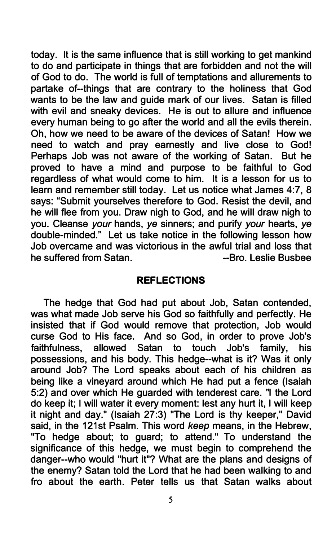today. It is the same influence that is still working to get mankind to do and participate in things that are forbidden and not the will of God to do. The world is full of temptations and allurements to partake of--things that are contrary to the holiness that God wants to be the law and guide mark of our lives. Satan is filled with evil and sneaky devices. He is out to allure and influence every human being to go after the world and all the evils therein. Oh, how we need to be aware of the devices of Satan! How we need to watch and pray earnestly and live close to God! Perhaps Job was not aware of the working of Satan. But he proved to have a mind and purpose to be faithful to God regardless of what would come to him. It is a lesson for us to learn and remember still today. Let us notice what James 4:7, 8 says: "Submit yourselves therefore to God. Resist the devil, and he will flee from you. Draw nigh to God, and he will draw nigh to you. Cleanse your hands, ye sinners; and purify your hearts, ye double-minded." Let us take notice in the following lesson how Job overcame and was victorious in the awful trial and loss that he suffered from Satan. The Superintensis and the surfered from Satan.

#### REFLECTIONS

The hedge that God had put about Job, Satan contended, was what made Job serve his God so faithfully and perfectly. He insisted that if God would remove that protection, Job would curse God to His face. And so God, in order to prove Job's faithfulness, allowed Satan to touch Job's family, his possessions, and his body. This hedge--what is it? Was it only around Job? The Lord speaks about each of his children as being like a vineyard around which He had put a fence (Isaiah 5:2) and over which He guarded with tenderest care. "I the Lord do keep it; I will water it every moment: lest any hurt it, I will keep it night and day." (Isaiah 27:3) "The Lord is thy keeper," David said, in the 121st Psalm. This word keep means, in the Hebrew, "To hedge about; to guard; to attend." To understand the significance of this hedge, we must begin to comprehend the danger--who would "hurt it"? What are the plans and designs of the enemy? Satan told the Lord that he had been walking to and fro about the earth. Peter tells us that Satan walks about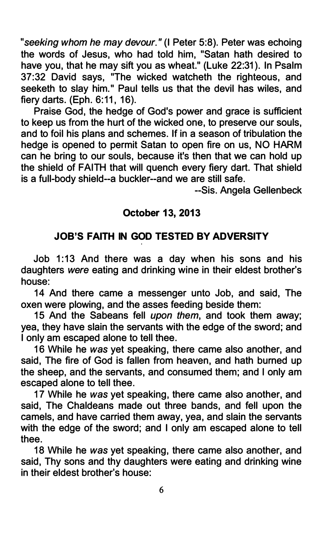"seeking whom he may devour." (I Peter 5:8). Peter was echoing the words of Jesus, who had told him, "Satan hath desired to have you, that he may sift you as wheat." (Luke 22:31). In Psalm 37:32 David says, "The wicked watcheth the righteous, and seeketh to slay him." Paul tells us that the devil has wiles, and fiery darts. (Eph. 6:11, 16).

Praise God, the hedge of God's power and grace is sufficient to keep us from the hurt of the wicked one, to preserve our souls, and to foil his plans and schemes. If in a season of tribulation the hedge is opened to permit Satan to open fire on us, NO HARM can he bring to our souls, because it's then that we can hold up the shield of FAITH that will quench every fiery dart. That shield is a full-body shield--a buckler--and we are still safe.

--Sis. Angela Gellenbeck

# October 13, 2013

# JOB'S FAITH IN GOD TESTED BY ADVERSITY

Job 1:13 And there was a day when his sons and his daughters were eating and drinking wine in their eldest brother's house:

14 And there came a messenger unto Job, and said, The oxen were plowing, and the asses feeding beside them:

15 And the Sabeans fell upon them, and took them away; yea, they have slain the servants with the edge of the sword; and I only am escaped alone to tell thee.

16 While he was yet speaking, there came also another, and said, The fire of God is fallen from heaven, and hath burned up the sheep, and the servants, and consumed them; and I only am escaped alone to tell thee.

17 While he was yet speaking, there came also another, and said, The Chaldeans made out three bands, and fell upon the camels, and have carried them away, yea, and slain the servants with the edge of the sword; and I only am escaped alone to tell thee.

18 While he was yet speaking, there came also another, and said, Thy sons and thy daughters were eating and drinking wine in their eldest brother's house: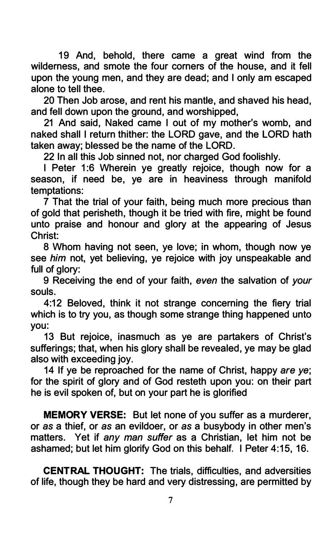19 And, behold, there came a great wind from the wilderness, and smote the four corners of the house, and it fell upon the young men, and they are dead; and I only am escaped alone to tell thee.

20 Then Job arose, and rent his mantle, and shaved his head, and fell down upon the ground, and worshipped,

21 And said, Naked came I out of my mother's womb, and naked shall I return thither: the LORD gave, and the LORD hath taken away; blessed be the name of the LORD.

22 In all this Job sinned not, nor charged God foolishly.

I Peter 1:6 Wherein ye greatly rejoice, though now for a season, if need be, ye are in heaviness through manifold temptations:

7 That the trial of your faith, being much more precious than of gold that perisheth, though it be tried with fire, might be found unto praise and honour and glory at the appearing of Jesus Christ:

8 Whom having not seen, ye love; in whom, though now ye see him not, yet believing, ye rejoice with joy unspeakable and full of glory:

9 Receiving the end of your faith, even the salvation of your souls.

4:12 Beloved, think it not strange concerning the fiery trial which is to try you, as though some strange thing happened unto you:

13 But rejoice, inasmuch as ye are partakers of Christ's sufferings; that, when his glory shall be revealed, ye may be glad also with exceeding joy.

14 If ye be reproached for the name of Christ, happy are ye; for the spirit of glory and of God resteth upon you: on their part he is evil spoken of, but on your part he is glorified

MEMORY VERSE: But let none of you suffer as a murderer, or as a thief, or as an evildoer, or as a busybody in other men's matters. Yet if any man suffer as a Christian, let him not be ashamed; but let him glorify God on this behalf. I Peter 4:15, 16.

CENTRAL THOUGHT: The trials, difficulties, and adversities of life, though they be hard and very distressing, are permitted by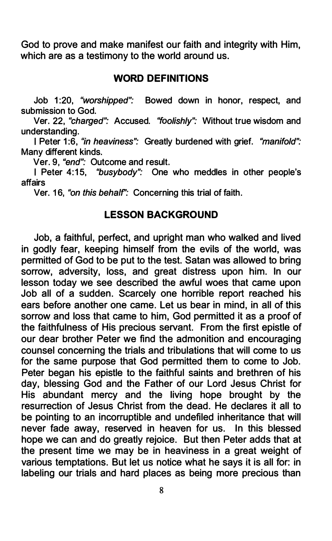God to prove and make manifest our faith and integrity with Him, which are as a testimony to the world around us.

#### WORD DEFINITIONS

Job 1:20, "worshipped": Bowed down in honor, respect, and submission to God.

Ver. 22, "charged": Accused. "foolishly": Without true wisdom and understanding.

I Peter 1:6, "in heaviness": Greatly burdened with grief. "manifold": Many different kinds.

Ver. 9, "end": Outcome and result.

I Peter 4:15, "busybody": One who meddles in other people's affairs

Ver. 16, "on this behalf": Concerning this trial of faith.

#### LESSON BACKGROUND

Job, a faithful, perfect, and upright man who walked and lived in godly fear, keeping himself from the evils of the world, was permitted of God to be put to the test. Satan was allowed to bring sorrow, adversity, loss, and great distress upon him. In our lesson today we see described the awful woes that came upon Job all of a sudden. Scarcely one horrible report reached his ears before another one came. Let us bear in mind, in all of this sorrow and loss that came to him, God permitted it as a proof of the faithfulness of His precious servant. From the first epistle of our dear brother Peter we find the admonition and encouraging counsel concerning the trials and tribulations that will come to us for the same purpose that God permitted them to come to Job. Peter began his epistle to the faithful saints and brethren of his day, blessing God and the Father of our Lord Jesus Christ for His abundant mercy and the living hope brought by the resurrection of Jesus Christ from the dead. He declares it all to be pointing to an incorruptible and undefiled inheritance that will never fade away, reserved in heaven for us. In this blessed hope we can and do greatly rejoice. But then Peter adds that at the present time we may be in heaviness in a great weight of various temptations. But let us notice what he says it is all for: in labeling our trials and hard places as being more precious than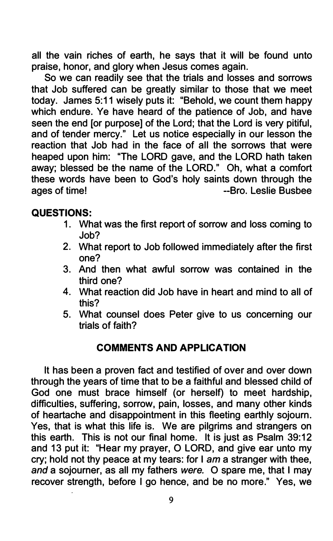all the vain riches of earth, he says that it will be found unto praise, honor, and glory when Jesus comes again.

So we can readily see that the trials and losses and sorrows that Job suffered can be greatly similar to those that we meet today. James 5:11 wisely puts it: "Behold, we count them happy which endure. Ye have heard of the patience of Job, and have seen the end [or purpose] of the Lord; that the Lord is very pitiful, and of tender mercy." Let us notice especially in our lesson the reaction that Job had in the face of all the sorrows that were heaped upon him: "The LORD gave, and the LORD hath taken away; blessed be the name of the LORD." Oh, what a comfort these words have been to God's holy saints down through the ages of time!  $\qquad \qquad -\text{Bro.}$  Leslie Busbee

# QUESTIONS:

- 1. What was the first report of sorrow and loss coming to Job?
- 2. What report to Job followed immediately after the first one?
- 3. And then what awful sorrow was contained in the third one?
- 4. What reaction did Job have in heart and mind to all of this?
- 5. What counsel does Peter give to us concerning our trials of faith?

# COMMENTS AND APPLICATION

It has been a proven fact and testified of over and over down through the years of time that to be a faithful and blessed child of God one must brace himself (or herself) to meet hardship, difficulties, suffering, sorrow, pain, losses, and many other kinds of heartache and disappointment in this fleeting earthly sojourn. Yes, that is what this life is. We are pilgrims and strangers on this earth. This is not our final home. It is just as Psalm 39:12 and 13 put it: "Hear my prayer, 0 LORD, and give ear unto my cry; hold not thy peace at my tears: for I am a stranger with thee, and a sojourner, as all my fathers were. 0 spare me, that I may recover strength, before I go hence, and be no more." Yes, we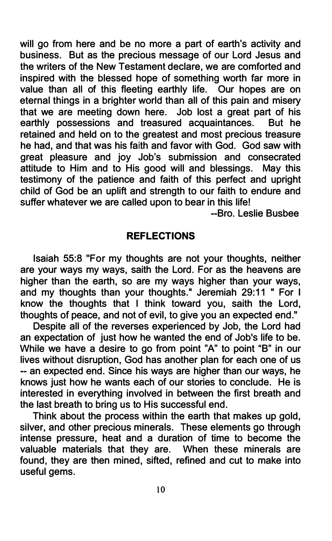will go from here and be no more a part of earth's activity and business. But as the precious message of our Lord Jesus and the writers of the New Testament declare, we are comforted and inspired with the blessed hope of something worth far more in value than all of this fleeting earthly life. Our hopes are on eternal things in a brighter world than all of this pain and misery that we are meeting down here. Job lost a great part of his earthly possessions and treasured acquaintances. But he retained and held on to the greatest and most precious treasure he had, and that was his faith and favor with God. God saw with great pleasure and joy Job's submission and consecrated attitude to Him and to His good will and blessings. May this testimony of the patience and faith of this perfect and upright child of God be an uplift and strength to our faith to endure and suffer whatever we are called upon to bear in this life!

--Bro. Leslie Busbee

### REFLECTIONS

Isaiah 55:8 "For my thoughts are not your thoughts, neither are your ways my ways, saith the Lord. For as the heavens are higher than the earth, so are my ways higher than your ways, and my thoughts than your thoughts." Jeremiah 29:11 " For I know the thoughts that I think toward you, saith the Lord, thoughts of peace, and not of evil, to give you an expected end."

Despite all of the reverses experienced by Job, the Lord had an expectation of just how he wanted the end of Job's life to be. While we have a desire to go from point "A" to point "B" in our lives without disruption, God has another plan for each one of us -- an expected end. Since his ways are higher than our ways, he knows just how he wants each of our stories to conclude. He is interested in everything involved in between the first breath and the last breath to bring us to His successful end.

Think about the process within the earth that makes up gold, silver, and other precious minerals. These elements go through intense pressure, heat and a duration of time to become the valuable materials that they are. When these minerals are found, they are then mined, sifted, refined and cut to make into useful gems.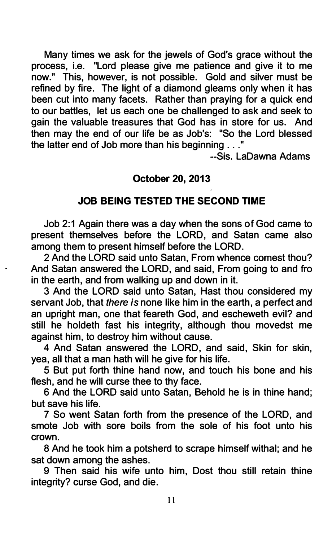Many times we ask for the jewels of God's grace without the process, i.e. "Lord please give me patience and give it to me now." This, however, is not possible. Gold and silver must be refined by fire. The light of a diamond gleams only when it has been cut into many facets. Rather than praying for a quick end to our battles, let us each one be challenged to ask and seek to gain the valuable treasures that God has in store for us. And then may the end of our life be as Job's: "So the Lord blessed the latter end of Job more than his beginning ... "

--Sis. LaDawna Adams

# October 20, 2013

# JOB BEING TESTED THE SECOND TIME

Job 2:1 Again there was a day when the sons of God came to present themselves before the LORD, and Satan came also among them to present himself before the LORD.

2 And the LORD said unto Satan, From whence comest thou? And Satan answered the LORD, and said, From going to and fro in the earth, and from walking up and down in it.

3 And the LORD said unto Satan, Hast thou considered my servant Job, that there is none like him in the earth, a perfect and an upright man, one that feareth God, and escheweth evil? and still he holdeth fast his integrity, although thou movedst me against him, to destroy him without cause.

4 And Satan answered the LORD, and said, Skin for skin, yea, all that a man hath will he give for his life.

5 But put forth thine hand now, and touch his bone and his flesh, and he will curse thee to thy face.

6 And the LORD said unto Satan, Behold he is in thine hand; but save his life.

7 So went Satan forth from the presence of the LORD, and smote Job with sore boils from the sole of his foot unto his crown.

8 And he took him a potsherd to scrape himself withal; and he sat down among the ashes.

9 Then said his wife unto him, Dost thou still retain thine integrity? curse God, and die.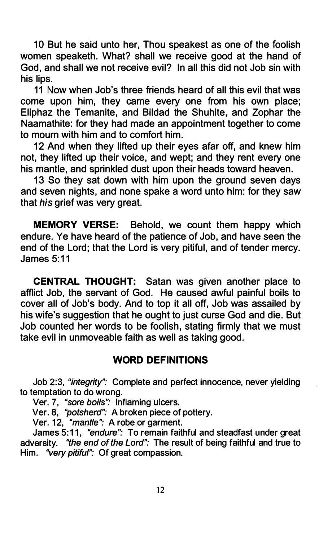10 But he said unto her, Thou speakest as one of the foolish women speaketh. What? shall we receive good at the hand of God, and shall we not receive evil? In all this did not Job sin with his lips.

11 Now when Job's three friends heard of all this evil that was come upon him, they came every one from his own place; Eliphaz the Temanite, and Bildad the Shuhite, and Zophar the Naamathite: for they had made an appointment together to come to mourn with him and to comfort him.

12 And when they lifted up their eyes afar off, and knew him not, they lifted up their voice, and wept; and they rent every one his mantle, and sprinkled dust upon their heads toward heaven.

13 So they sat down with him upon the ground seven days and seven nights, and none spake a word unto him: for they saw that his grief was very great.

MEMORY VERSE: Behold, we count them happy which endure. Ye have heard of the patience of Job, and have seen the end of the Lord; that the Lord is very pitiful, and of tender mercy. James 5:11

CENTRAL THOUGHT: Satan was given another place to afflict Job, the servant of God. He caused awful painful boils to cover all of Job's body. And to top it all off, Job was assailed by his wife's suggestion that he ought to just curse God and die. But Job counted her words to be foolish, stating firmly that we must take evil in unmoveable faith as well as taking good.

# WORD DEFINITIONS

Job 2:3, "integrity": Complete and perfect innocence, never yielding to temptation to do wrong.

Ver. 7, "sore boils'': Inflaming ulcers.

Ver. 8, "potsherd": A broken piece of pottery.

Ver. 12, "*mantle"*: A robe or garment.

James 5:11, "endure": To remain faithful and steadfast under great adversity. "the end of the Lord": The result of being faithful and true to Him. "very pitiful": Of great compassion.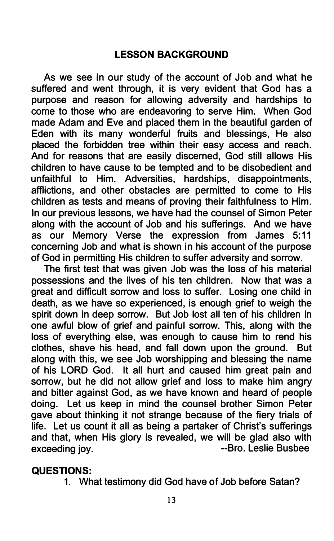# LESSON BACKGROUND

As we see in our study of the account of Job and what he suffered and went through, it is very evident that God has a purpose and reason for allowing adversity and hardships to come to those who are endeavoring to serve Him. When God made Adam and Eve and placed them in the beautiful garden of Eden with its many wonderful fruits and blessings, He also placed the forbidden tree within their easy access and reach. And for reasons that are easily discerned, God still allows His children to have cause to be tempted and to be disobedient and unfaithful to Him. Adversities, hardships, disappointments, afflictions, and other obstacles are permitted to come to His children as tests and means of proving their faithfulness to Him. In our previous lessons, we have had the counsel of Simon Peter along with the account of Job and his sufferings. And we have as our Memory Verse the expression from James 5:11 concerning Job and what is shown in his account of the purpose of God in permitting His children to suffer adversity and sorrow.

The first test that was given Job was the loss of his material possessions and the lives of his ten children. Now that was a great and difficult sorrow and loss to suffer. Losing one child in death, as we have so experienced, is enough grief to weigh the spirit down in deep sorrow. But Job lost all ten of his children in one awful blow of grief and painful sorrow. This, along with the loss of everything else, was enough to cause him to rend his clothes, shave his head, and fall down upon the ground. But along with this, we see Job worshipping and blessing the name of his LORD God. It all hurt and caused him great pain and sorrow, but he did not allow grief and loss to make him angry and bitter against God, as we have known and heard of people doing. Let us keep in mind the counsel brother Simon Peter gave about thinking it not strange because of the fiery trials of life. Let us count it all as being a partaker of Christ's sufferings and that, when His glory is revealed, we will be glad also with exceeding joy. **Exceeding is a set of the set of the set of the set of the set of the set of the set of the set of the set of the set of the set of the set of the set of the set of the set of the set of the set of the set** 

#### QUESTIONS:

1. What testimony did God have of Job before Satan?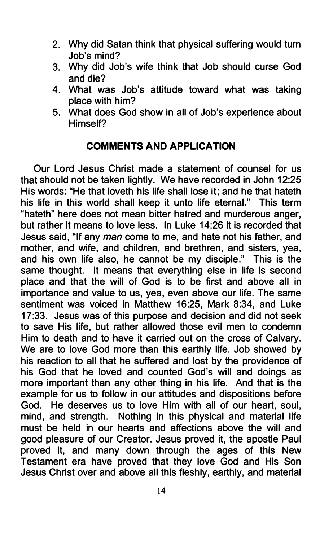- 2. Why did Satan think that physical suffering would turn Job's mind?
- 3. Why did Job's wife think that Job should curse God and die?
- 4. What was Job's attitude toward what was taking place with him?
- 5. What does God show in all of Job's experience about Himself?

# COMMENTS AND APPLICATION

Our Lord Jesus Christ made a statement of counsel for us that should not be taken lightly. We have recorded in John 12:25 His words: "He that loveth his life shall lose it; and he that hateth his life in this world shall keep it unto life eternal." This term "hateth" here does not mean bitter hatred and murderous anger, but rather it means to love less. In Luke 14:26 it is recorded that Jesus said, "If any man come to me, and hate not his father, and mother, and wife, and children, and brethren, and sisters, yea, and his own life also, he cannot be my disciple." This is the same thought. It means that everything else in life is second place and that the will of God is to be first and above all in importance and value to us, yea, even above our life. The same sentiment was voiced in Matthew 16:25, Mark 8:34, and Luke 17:33. Jesus was of this purpose and decision and did not seek to save His life, but rather allowed those evil men to condemn Him to death and to have it carried out on the cross of Calvary. We are to love God more than this earthly life. Job showed by his reaction to all that he suffered and lost by the providence of his God that he loved and counted God's will and doings as more important than any other thing in his life. And that is the example for us to follow in our attitudes and dispositions before God. He deserves us to love Him with all of our heart, soul, mind, and strength. Nothing in this physical and material life must be held in our hearts and affections above the will and good pleasure of our Creator. Jesus proved it, the apostle Paul proved it, and many down through the ages of this New Testament era have proved that they love God and His Son Jesus Christ over and above all this fleshly, earthly, and material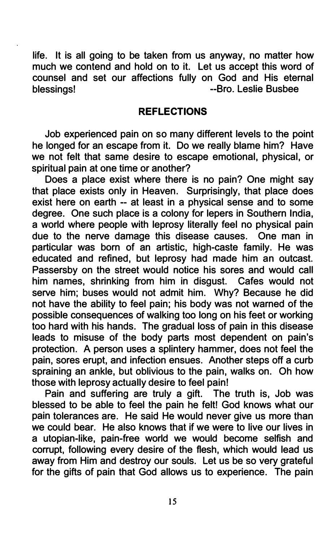life. It is all going to be taken from us anyway, no matter how much we contend and hold on to it. Let us accept this word of counsel and set our affections fully on God and His eternal blessings! The Contract of the Subsetted Subsetted Alexander Contract of the Busbee

#### REFLECTIONS

Job experienced pain on so many different levels to the point he longed for an escape from it. Do we really blame him? Have we not felt that same desire to escape emotional, physical, or spiritual pain at one time or another?

Does a place exist where there is no pain? One might say that place exists only in Heaven. Surprisingly, that place does exist here on earth -- at least in a physical sense and to some degree. One such place is a colony for lepers in Southern India, a world where people with leprosy literally feel no physical pain due to the nerve damage this disease causes. One man in particular was born of an artistic, high-caste family. He was educated and refined, but leprosy had made him an outcast. Passersby on the street would notice his sores and would call him names, shrinking from him in disgust. Cafes would not serve him; buses would not admit him. Why? Because he did not have the ability to feel pain; his body was not warned of the possible consequences of walking too long on his feet or working too hard with his hands. The gradual loss of pain in this disease leads to misuse of the body parts most dependent on pain's protection. A person uses a splintery hammer, does not feel the pain, sores erupt, and infection ensues. Another steps off a curb spraining an ankle, but oblivious to the pain, walks on. Oh how those with leprosy actually desire to feel pain!

Pain and suffering are truly a gift. The truth is, Job was blessed to be able to feel the pain he felt! God knows what our pain tolerances are. He said He would never give us more than we could bear. He also knows that if we were to live our lives in a utopian-like, pain-free world we would become selfish and corrupt, following every desire of the flesh, which would lead us away from Him and destroy our souls. Let us be so very grateful for the gifts of pain that God allows us to experience. The pain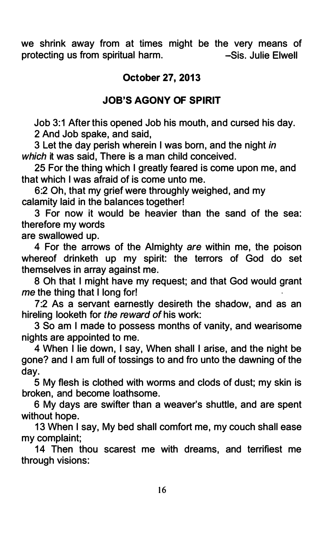we shrink away from at times might be the very means of protecting us from spiritual harm. -Sis. Julie Elwell

# October 27, 2013

# JOB'S AGONY OF SPIRIT

Job 3:1 After this opened Job his mouth, and cursed his day. 2 And Job spake, and said,

3 Let the day perish wherein I was born, and the night in which it was said. There is a man child conceived.

25 For the thing which I greatly feared is come upon me, and that which I was afraid of is come unto me.

6:2 Oh, that my grief were throughly weighed, and my calamity laid in the balances together!

3 For now it would be heavier than the sand of the sea: therefore my words

are swallowed up.

4 For the arrows of the Almighty are within me, the poison whereof drinketh up my spirit: the terrors of God do set themselves in array against me.

8 Oh that I might have my request; and that God would grant me the thing that I long for!

7:2 As a servant earnestly desireth the shadow, and as an hireling looketh for the reward of his work:

3 So am I made to possess months of vanity, and wearisome nights are appointed to me.

4 When I lie down, I say, When shall I arise, and the night be gone? and I am full of tossings to and fro unto the dawning of the day.

5 My flesh is clothed with worms and clods of dust; my skin is broken, and become loathsome.

6 My days are swifter than a weaver's shuttle, and are spent without hope.

13 When I say, My bed shall comfort me, my couch shall ease my complaint;

14 Then thou scarest me with dreams, and terrifiest me through visions: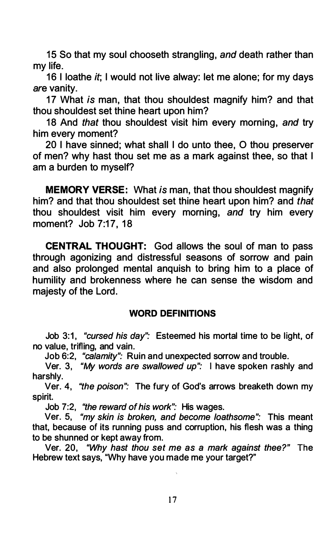15 So that my soul chooseth strangling, and death rather than my life.

16 I loathe *it*: I would not live alway: let me alone; for my days are vanity.

17 What is man, that thou shouldest magnify him? and that thou shouldest set thine heart upon him?

18 And that thou shouldest visit him every morning, and try him every moment?

20 I have sinned; what shall I do unto thee, O thou preserver of men? why hast thou set me as a mark against thee, so that I am a burden to myself?

MEMORY VERSE: What is man, that thou shouldest magnify him? and that thou shouldest set thine heart upon him? and that thou shouldest visit him every morning, and try him every moment? Job 7:17, 18

CENTRAL THOUGHT: God allows the soul of man to pass through agonizing and distressful seasons of sorrow and pain and also prolonged mental anquish to bring him to a place of humility and brokenness where he can sense the wisdom and majesty of the Lord.

#### WORD DEFINITIONS

Job 3:1, "cursed his day": Esteemed his mortal time to be light, of no value, trifling, and vain.

Job 6:2, "calamity": Ruin and unexpected sorrow and trouble.

Ver. 3, "My words are swallowed up": I have spoken rashly and harshly.

Ver. 4, "the poison": The fury of God's arrows breaketh down my spirit.

Job 7:2, "the reward of his work": His wages.

Ver. 5, "my skin is broken, and become loathsome": This meant that, because of its running puss and corruption, his flesh was a thing to be shunned or kept away from.

Ver. 20, "Why hast thou set me as a mark against thee?" The Hebrew text says, "Why have you made me your target?"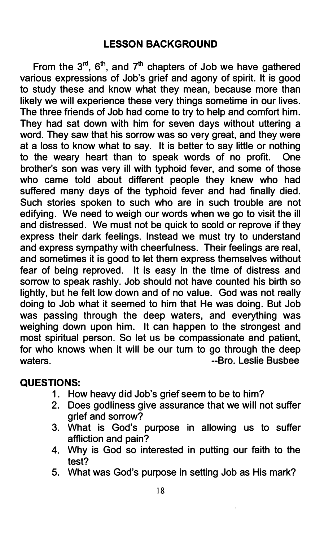From the  $3^{rd}$ ,  $6^{th}$ , and  $7^{th}$  chapters of Job we have gathered various expressions of Job's grief and agony of spirit. It is good to study these and know what they mean, because more than likely we will experience these very things sometime in our lives. The three friends of Job had come to try to help and comfort him. They had sat down with him for seven days without uttering a word. They saw that his sorrow was so very great, and they were at a loss to know what to say. It is better to say little or nothing to the weary heart than to speak words of no profit. One brother's son was very ill with typhoid fever, and some of those who came told about different people they knew who had suffered many days of the typhoid fever and had finally died. Such stories spoken to such who are in such trouble are not edifying. We need to weigh our words when we go to visit the ill and distressed. We must not be quick to scold or reprove if they express their dark feelings. Instead we must try to understand and express sympathy with cheerfulness. Their feelings are real, and sometimes it is good to let them express themselves without fear of being reproved. It is easy in the time of distress and sorrow to speak rashly. Job should not have counted his birth so lightly, but he felt low down and of no value. God was not really doing to Job what it seemed to him that He was doing. But Job was passing through the deep waters, and everything was weighing down upon him. It can happen to the strongest and most spiritual person. So let us be compassionate and patient, for who knows when it will be our turn to go through the deep waters. The contract of the contract of the set of the set of the set of the set of the set of the set of the set of the set of the set of the set of the set of the set of the set of the set of the set of the set of the se

# QUESTIONS:

- 1. How heavy did Job's grief seem to be to him?
- 2. Does godliness give assurance that we will not suffer grief and sorrow?
- 3. What is God's purpose in allowing us to suffer affliction and pain?
- 4. Why is God so interested in putting our faith to the test?
- 5. What was God's purpose in setting Job as His mark?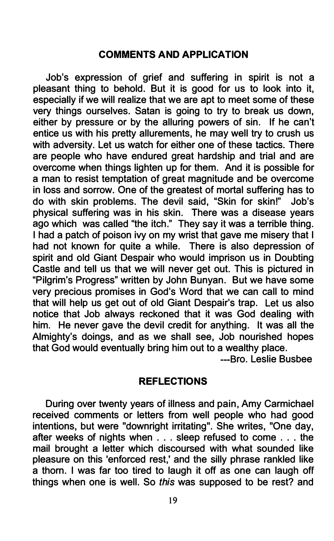#### COMMENTS AND APPLICATION

Job's expression of grief and suffering in spirit is not a pleasant thing to behold. But it is good for us to look into it, especially if we will realize that we are apt to meet some of these very things ourselves. Satan is going to try to break us down, either by pressure or by the alluring powers of sin. If he can't entice us with his pretty allurements, he may well try to crush us with adversity. Let us watch for either one of these tactics. There are people who have endured great hardship and trial and are overcome when things lighten up for them. And it is possible for a man to resist temptation of great magnitude and be overcome in loss and sorrow. One of the greatest of mortal suffering has to do with skin problems. The devil said, "Skin for skin!" Job's physical suffering was in his skin. There was a disease years ago which was called "the itch." They say it was a terrible thing. I had a patch of poison ivy on my wrist that gave me misery that I had not known for quite a while. There is also depression of spirit and old Giant Despair who would imprison us in Doubting Castle and tell us that we will never get out. This is pictured in "Pilgrim's Progress" written by John Bunyan. But we have some very precious promises in God's Word that we can call to mind that will help us get out of old Giant Despair's trap. Let us also notice that Job always reckoned that it was God dealing with him. He never gave the devil credit for anything. It was all the Almighty's doings, and as we shall see, Job nourished hopes that God would eventually bring him out to a wealthy place.

---Bro. Leslie Busbee

#### REFLECTIONS

During over twenty years of illness and pain, Amy Carmichael received comments or letters from well people who had good intentions, but were "downright irritating". She writes, "One day, after weeks of nights when . . . sleep refused to come . . . the mail brought a letter which discoursed with what sounded like pleasure on this 'enforced rest,' and the silly phrase rankled like a thorn. I was far too tired to laugh it off as one can laugh off things when one is well. So this was supposed to be rest? and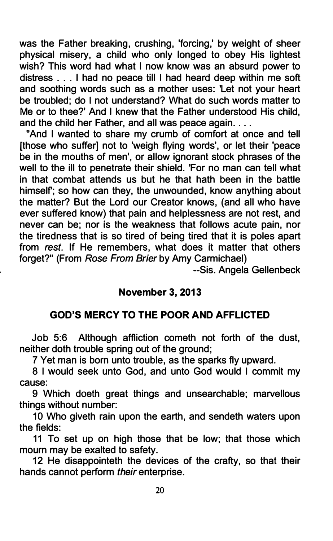was the Father breaking, crushing, 'forcing,' by weight of sheer physical misery, a child who only longed to obey His lightest wish? This word had what I now know was an absurd power to distress . . . I had no peace till I had heard deep within me soft and soothing words such as a mother uses: 'Let not your heart be troubled; do I not understand? What do such words matter to Me or to thee?' And I knew that the Father understood His child, and the child her Father, and all was peace again....

"And I wanted to share my crumb of comfort at once and tell [those who suffer] not to 'weigh flying words', or let their 'peace be in the mouths of men', or allow ignorant stock phrases of the well to the ill to penetrate their shield. 'For no man can tell what in that combat attends us but he that hath been in the battle himself; so how can they, the unwounded, know anything about the matter? But the Lord our Creator knows, (and all who have ever suffered know) that pain and helplessness are not rest, and never can be; nor is the weakness that follows acute pain, nor the tiredness that is so tired of being tired that it is poles apart from rest. If He remembers, what does it matter that others forget?" (From Rose From Brier by Amy Carmichael)

--Sis. Angela Gellenbeck

# November 3, 2013

#### GOD'S MERCY TO THE POOR AND AFFLICTED

Job 5:6 Although affliction cometh not forth of the dust, neither doth trouble spring out of the ground;

7 Yet man is born unto trouble, as the sparks fly upward.

8 I would seek unto God, and unto God would I commit my cause:

9 Which deeth great things and unsearchable; marvellous things without number:

10 Who giveth rain upon the earth, and sendeth waters upon the fields:

11 To set up on high those that be low; that those which mourn may be exalted to safety.

12 He disappointeth the devices of the crafty, so that their hands cannot perform their enterprise.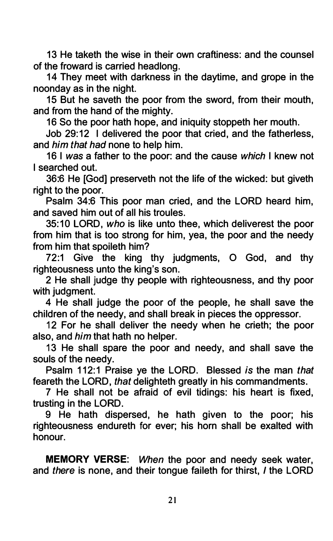13 He taketh the wise in their own craftiness: and the counsel of the froward is carried headlong.

14 They meet with darkness in the daytime, and grope in the noonday as in the night.

15 But he saveth the poor from the sword, from their mouth, and from the hand of the mighty.

16 So the poor hath hope, and iniquity stoppeth her mouth.

Job 29:12 I delivered the poor that cried, and the fatherless, and him that had none to help him.

16 I was a father to the poor: and the cause which I knew not I searched out.

36:6 He [God] preserveth not the life of the wicked: but giveth right to the poor.

Psalm 34:6 This poor man cried, and the LORD heard him, and saved him out of all his troules.

35: 10 LORD, who is like unto thee, which deliverest the poor from him that is too strong for him, yea, the poor and the needy from him that spoileth him?

72:1 Give the king thy judgments, 0 God, and thy righteousness unto the king's son.

2 He shall judge thy people with righteousness, and thy poor with judament.

4 He shall judge the poor of the people, he shall save the children of the needy, and shall break in pieces the oppressor.

12 For he shall deliver the needy when he crieth; the poor also, and *him* that hath no helper.

13 He shall spare the poor and needy, and shall save the souls of the needy.

Psalm 112:1 Praise ye the LORD. Blessed is the man that feareth the LORD, that delighteth greatly in his commandments.

7 He shall not be afraid of evil tidings: his heart is fixed, trusting in the LORD.

9 He hath dispersed, he hath given to the poor; his righteousness endureth for ever; his horn shall be exalted with honour.

MEMORY VERSE: When the poor and needy seek water, and there is none, and their tongue faileth for thirst, I the LORD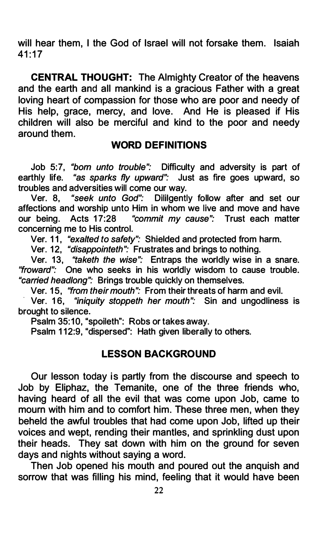will hear them. I the God of Israel will not forsake them. Isaiah  $41:17$ 

CENTRAL THOUGHT: The Almighty Creator of the heavens and the earth and all mankind is a gracious Father with a great loving heart of compassion for those who are poor and needy of His help, grace, mercy, and love. And He is pleased if His children will also be merciful and kind to the poor and needy around them.

#### WORD DEFINITIONS

Job 5:7, "born unto trouble": Difficulty and adversity is part of earthly life. "as sparks fly upward": Just as fire goes upward, so troubles and adversities will come our way.

Ver. 8, "seek unto God": Dililgently follow after and set our affections and worship unto Him in whom we live and move and have our being. Acts 17:28 "commit my cause": Trust each matter concerning me to His control.

Ver. 11, "exalted to safety": Shielded and protected from harm.

Ver. 12, "disappointeth": Frustrates and brings to nothing.

Ver. 13, "taketh the wise": Entraps the worldly wise in a snare. "froward": One who seeks in his worldly wisdom to cause trouble. "carried headlong": Brings trouble quickly on themselves.

Ver. 15, "from their mouth": From their threats of harm and evil.

Ver. 16, "iniquity stoppeth her mouth": Sin and ungodliness is brought to silence.

Psalm 35:10, "spoileth": Robs or takes away.

Psalm 112:9. "dispersed": Hath given liberally to others.

#### LESSON BACKGROUND

Our lesson today is partly from the discourse and speech to Job by Eliphaz, the Temanite, one of the three friends who, having heard of all the evil that was come upon Job, came to mourn with him and to comfort him. These three men, when they beheld the awful troubles that had come upon Job, lifted up their voices and wept, rending their mantles, and sprinkling dust upon their heads. They sat down with him on the ground for seven days and nights without saying a word.

Then Job opened his mouth and poured out the anquish and sorrow that was filling his mind, feeling that it would have been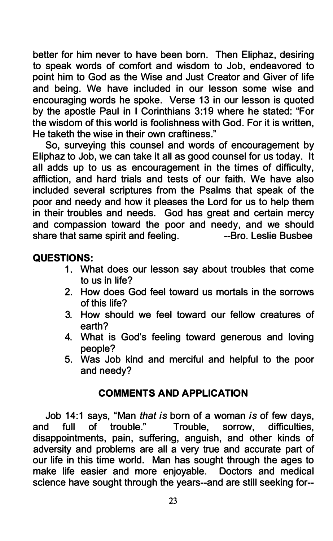better for him never to have been born. Then Eliphaz, desiring to speak words of comfort and wisdom to Job, endeavored to point him to God as the Wise and Just Creator and Giver of life and being. We have included in our lesson some wise and encouraging words he spoke. Verse 13 in our lesson is quoted by the apostle Paul in I Corinthians 3:19 where he stated: "For the wisdom of this world is foolishness with God. For it is written, He taketh the wise in their own craftiness."

So, surveying this counsel and words of encouragement by Eliphaz to Job, we can take it all as good counsel for us today. It all adds up to us as encouragement in the times of difficulty, affliction, and hard trials and tests of our faith. We have also included several scriptures from the Psalms that speak of the poor and needy and how it pleases the Lord for us to help them in their troubles and needs. God has great and certain mercy and compassion toward the poor and needy, and we should<br>share that same spirit and feeling. The same share Busbee share that same spirit and feeling.

# QUESTIONS:

- 1. What does our lesson say about troubles that come to us in life?
- 2. How does God feel toward us mortals in the sorrows of this life?
- 3. How should we feel toward our fellow creatures of earth?
- 4. What is God's feeling toward generous and loving people?
- 5. Was Job kind and merciful and helpful to the poor and needy?

# COMMENTS AND APPLICATION

Job 14:1 says, "Man *that is* born of a woman *is* of few days,<br>d full of trouble." Trouble. sorrow. difficulties. and full of trouble." disappointments, pain, suffering, anguish, and other kinds of adversity and problems are all a very true and accurate part of our life in this time world. Man has sought through the ages to make life easier and more enjoyable. Doctors and medical science have sought through the years--and are still seeking for--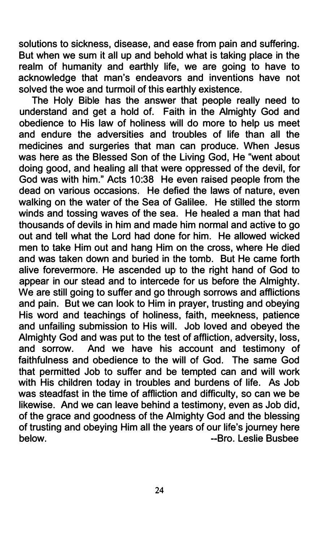solutions to sickness, disease, and ease from pain and suffering. But when we sum it all up and behold what is taking place in the realm of humanity and earthly life, we are going to have to acknowledge that man's endeavors and inventions have not solved the woe and turmoil of this earthly existence.

The Holy Bible has the answer that people really need to understand and get a hold of. Faith in the Almighty God and obedience to His law of holiness will do more to help us meet and endure the adversities and troubles of life than all the medicines and surgeries that man can produce. When Jesus was here as the Blessed Son of the Living God, He "went about doing good, and healing all that were oppressed of the devil, for God was with him." Acts 10:38 He even raised people from the dead on various occasions. He defied the laws of nature, even walking on the water of the Sea of Galilee. He stilled the storm winds and tossing waves of the sea. He healed a man that had thousands of devils in him and made him normal and active to go out and tell what the Lord had done for him. He allowed wicked men to take Him out and hang Him on the cross, where He died and was taken down and buried in the tomb. But He came forth alive forevermore. He ascended up to the right hand of God to appear in our stead and to intercede for us before the Almighty. We are still going to suffer and go through sorrows and afflictions and pain. But we can look to Him in prayer, trusting and obeying His word and teachings of holiness, faith, meekness, patience and unfailing submission to His will. Job loved and obeyed the Almighty God and was put to the test of affliction, adversity, loss, and sorrow. And we have his account and testimony of faithfulness and obedience to the will of God. The same God that permitted Job to suffer and be tempted can and will work with His children today in troubles and burdens of life. As Job was steadfast in the time of affliction and difficulty, so can we be likewise. And we can leave behind a testimony, even as Job did, of the grace and goodness of the Almighty God and the blessing of trusting and obeying Him all the years of our life's journey here below. --Bro. Leslie Busbee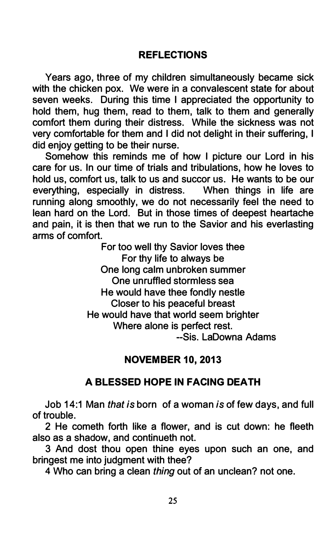# **REFLECTIONS**

Years ago, three of my children simultaneously became sick with the chicken pox. We were in a convalescent state for about seven weeks. During this time I appreciated the opportunity to hold them, hug them, read to them, talk to them and generally comfort them during their distress. While the sickness was not very comfortable for them and I did not delight in their suffering, I did enjoy getting to be their nurse.

Somehow this reminds me of how I picture our Lord in his care for us. In our time of trials and tribulations, how he loves to hold us, comfort us, talk to us and succor us. He wants to be our everything, especially in distress. When things in life are running along smoothly, we do not necessarily feel the need to lean hard on the Lord. But in those times of deepest heartache and pain, it is then that we run to the Savior and his everlasting arms of comfort.

For too well thy Savior loves thee For thy life to always be One long calm unbroken summer One unruffled stormless sea He would have thee fondly nestle Closer to his peaceful breast He would have that world seem brighter Where alone is perfect rest. --Sis. LaDowna Adams

# NOVEM BER 10, 2013

# A BLESSED HOPE IN FACING DEATH

Job 14:1 Man that is born of a woman is of few days, and full of trouble.

2 He cometh forth like a flower, and is cut down: he fleeth also as a shadow, and continueth not.

3 And dost thou open thine eyes upon such an one, and bringest me into judgment with thee?

4 Who can bring a clean thing out of an unclean? not one.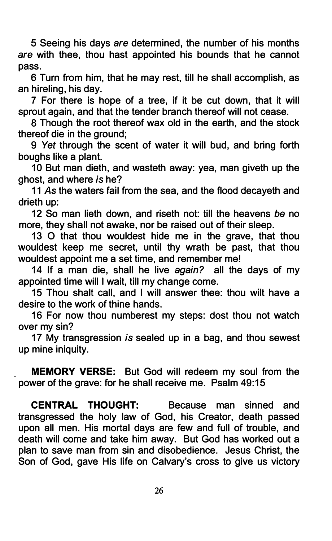5 Seeing his days are determined, the number of his months are with thee, thou hast appointed his bounds that he cannot pass.

6 Turn from him, that he may rest, till he shall accomplish, as an hireling, his day.

7 For there is hope of a tree, if it be cut down, that it will sprout again, and that the tender branch thereof will not cease.

8 Though the root thereof wax old in the earth, and the stock thereof die in the ground;

9 Yet through the scent of water it will bud, and bring forth boughs like a plant.

10 But man dieth, and wasteth away: yea, man giveth up the ghost, and where is he?

11 As the waters fail from the sea, and the flood decayeth and drieth up:

12 So man lieth down, and riseth not: till the heavens be no more, they shall not awake, nor be raised out of their sleep.

13 0 that thou wouldest hide me in the grave, that thou wouldest keep me secret, until thy wrath be past, that thou wouldest appoint me a set time, and remember me!

14 If a man die, shall he live again? all the days of my appointed time will I wait, till my change come.

15 Thou shalt call, and I will answer thee: thou wilt have a desire to the work of thine hands.

16 For now thou numberest my steps: dost thou not watch over my sin?

17 My transgression is sealed up in a bag, and thou sewest up mine iniquity.

MEMORY VERSE: But God will redeem my soul from the power of the grave: for he shall receive me. Psalm 49:15

CENTRAL THOUGHT: Because man sinned and transgressed the holy law of God, his Creator, death passed upon all men. His mortal days are few and full of trouble, and death will come and take him away. But God has worked out a plan to save man from sin and disobedience. Jesus Christ, the Son of God, gave His life on Calvary's cross to give us victory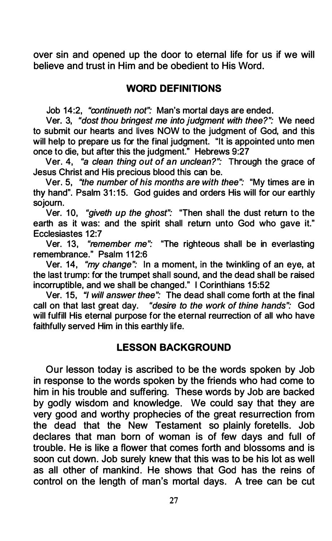over sin and opened up the door to eternal life for us if we will believe and trust in Him and be obedient to His Word.

### WORD DEFINITIONS

Job 14:2, "continueth not": Man's mortal days are ended.

Ver. 3, "dost thou bringest me into judgment with thee?": We need to submit our hearts and lives NOW to the judgment of God, and this will help to prepare us for the final judgment. "It is appointed unto men once to die, but after this the judgment." Hebrews 9:27

Ver. 4, "a clean thing out of an unclean?": Through the grace of Jesus Christ and His precious blood this can be.

Ver. 5, "the number of his months are with thee": "My times are in thy hand". Psalm 31:15. God guides and orders His will for our earthly sojourn.

Ver. 10, "giveth up the ghost": "Then shall the dust return to the earth as it was: and the spirit shall return unto God who gave it." Ecclesiastes 12:7

Ver. 13, "remember me": "The righteous shall be in everlasting remembrance." Psalm 112:6

Ver. 14, "my change": In a moment, in the twinkling of an eye, at the last trump: for the trumpet shall sound, and the dead shall be raised incorruptible, and we shall be changed." I Corinthians 15:52

Ver. 15, "I will answer thee": The dead shall come forth at the final call on that last great day. "desire to the work of thine hands": God will fulfill His eternal purpose for the eternal reurrection of all who have faithfully served Him in this earthly life.

# LESSON BACKGROUND

Our lesson today is ascribed to be the words spoken by Job in response to the words spoken by the friends who had come to him in his trouble and suffering. These words by Job are backed by godly wisdom and knowledge. We could say that they are very good and worthy prophecies of the great resurrection from the dead that the New Testament so plainly foretells. Job declares that man born of woman is of few days and full of trouble. He is like a flower that comes forth and blossoms and is soon cut down. Job surely knew that this was to be his lot as well as all other of mankind. He shows that God has the reins of control on the length of man's mortal days. A tree can be cut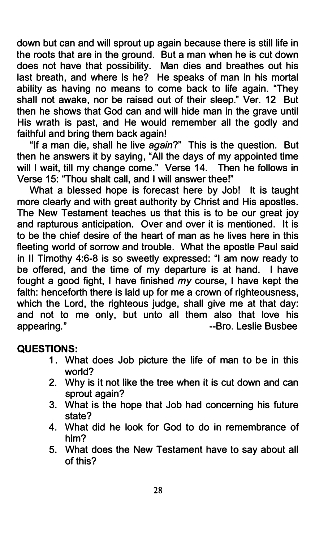down but can and will sprout up again because there is still life in the roots that are in the ground. But a man when he is cut down does not have that possibility. Man dies and breathes out his last breath, and where is he? He speaks of man in his mortal ability as having no means to come back to life again. "They shall not awake, nor be raised out of their sleep." Ver. 12 But then he shows that God can and will hide man in the grave until His wrath is past, and He would remember all the godly and faithful and bring them back again!

"If a man die, shall he live again?" This is the question. But then he answers it by saying, "All the days of my appointed time will I wait, till my change come." Verse 14. Then he follows in Verse 15: "Thou shalt call, and I will answer thee!"

What a blessed hope is forecast here by Job! It is taught more clearly and with great authority by Christ and His apostles. The New Testament teaches us that this is to be our great joy and rapturous anticipation. Over and over it is mentioned. It is to be the chief desire of the heart of man as he lives here in this fleeting world of sorrow and trouble. What the apostle Paul said in II Timothy 4:6-8 is so sweetly expressed: "I am now ready to be offered, and the time of my departure is at hand. I have fought a good fight. I have finished  $mv$  course, I have kept the faith: henceforth there is laid up for me a crown of righteousness, which the Lord, the righteous judge, shall give me at that day: and not to me only, but unto all them also that love his appearing." The Contract of the Contract of the Superintendent Contract of the Business appearing."

# QUESTIONS:

- 1. What does Job picture the life of man to be in this world?
- 2. Why is it not like the tree when it is cut down and can sprout again?
- 3. What is the hope that Job had concerning his future state?
- 4. What did he look for God to do in remembrance of him?
- 5. What does the New Testament have to say about all of this?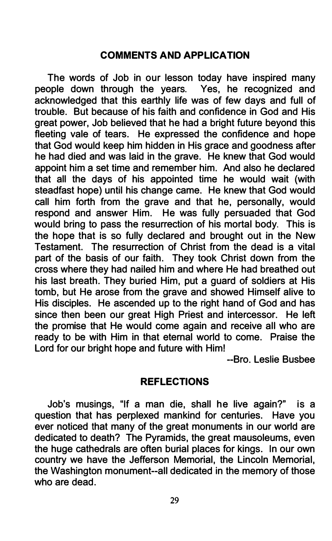### COMMENTS AND APPLICATION

The words of Job in our lesson today have inspired many people down through the years. Yes, he recognized and acknowledged that this earthly life was of few days and full of trouble. But because of his faith and confidence in God and His great power, Job believed that he had a bright future beyond this fleeting vale of tears. He expressed the confidence and hope that God would keep him hidden in His grace and goodness after he had died and was laid in the grave. He knew that God would appoint him a set time and remember him. And also he declared that all the days of his appointed time he would wait (with steadfast hope) until his change came. He knew that God would call him forth from the grave and that he, personally, would respond and answer Him. He was fully persuaded that God would bring to pass the resurrection of his mortal body. This is the hope that is so fully declared and brought out in the New Testament. The resurrection of Christ from the dead is a vital part of the basis of our faith. They took Christ down from the cross where they had nailed him and where He had breathed out his last breath. They buried Him, put a guard of soldiers at His tomb, but He arose from the grave and showed Himself alive to His disciples. He ascended up to the right hand of God and has since then been our great High Priest and intercessor. He left the promise that He would come again and receive all who are ready to be with Him in that eternal world to come. Praise the Lord for our bright hope and future with Him!

--Bro. Leslie Busbee

#### REFLECTIONS

Job's musings, "If a man die, shall he live again?" is a question that has perplexed mankind for centuries. Have you ever noticed that many of the great monuments in our world are dedicated to death? The Pyramids, the great mausoleums, even the huge cathedrals are often burial places for kings. In our own country we have the Jefferson Memorial, the Lincoln Memorial, the Washington monument--all dedicated in the memory of those who are dead.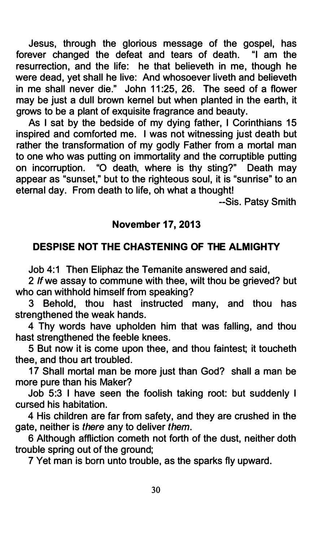Jesus, through the glorious message of the gospel, has forever changed the defeat and tears of death. "I am the resurrection, and the life: he that believeth in me, though he were dead, yet shall he live: And whosoever liveth and believeth in me shall never die." John 11:25, 26. The seed of a flower may be just a dull brown kernel but when planted in the earth, it grows to be a plant of exquisite fragrance and beauty.

As I sat by the bedside of my dying father, I Corinthians 15 inspired and comforted me. I was not witnessing just death but rather the transformation of my godly Father from a mortal man to one who was putting on immortality and the corruptible putting on incorruption. "0 death, where is thy sting?" Death may appear as "sunset," but to the righteous soul, it is "sunrise" to an eternal day. From death to life, oh what a thought!

--Sis. Patsy Smith

# November 17, 2013

# DESPISE NOT THE CHASTENING OF THE ALMIGHTY

Job 4:1 Then Eliphaz the Temanite answered and said,

2 If we assay to commune with thee, wilt thou be grieved? but who can withhold himself from speaking?

3 Behold, thou hast instructed many, and thou has strengthened the weak hands.

4 Thy words have upholden him that was falling, and thou hast strengthened the feeble knees.

5 But now it is come upon thee, and thou faintest; it toucheth thee, and thou art troubled.

17 Shall mortal man be more just than God? shall a man be more pure than his Maker?

Job 5:3 I have seen the foolish taking root: but suddenly I cursed his habitation.

4 His children are far from safety, and they are crushed in the gate, neither is there any to deliver them.

6 Although affliction cometh not forth of the dust, neither doth trouble spring out of the ground;

7 Yet man is born unto trouble, as the sparks fly upward.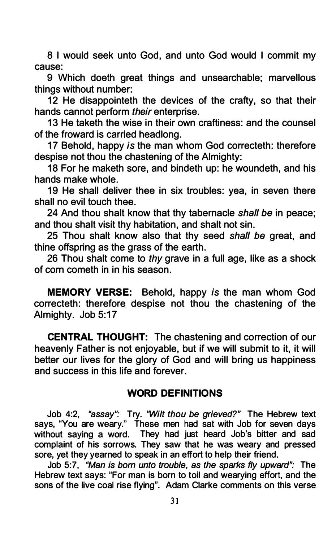8 I would seek unto God, and unto God would I commit my cause:

9 Which doeth great things and unsearchable; marvellous things without number:

12 He disappointeth the devices of the crafty, so that their hands cannot perform their enterprise.

13 He taketh the wise in their own craftiness: and the counsel of the froward is carried headlong.

17 Behold, happy is the man whom God correcteth: therefore despise not thou the chastening of the Almighty:

18 For he maketh sore, and bindeth up: he woundeth, and his hands make whole.

19 He shall deliver thee in six troubles: yea, in seven there shall no evil touch thee.

24 And thou shalt know that thy tabernacle shall be in peace; and thou shalt visit thy habitation, and shalt not sin.

25 Thou shalt know also that thy seed shall be great, and thine offspring as the grass of the earth.

26 Thou shalt come to thy grave in a full age, like as a shock of corn cometh in in his season.

MEMORY VERSE: Behold, happy is the man whom God correcteth: therefore despise not thou the chastening of the Almighty. Job 5:17

CENTRAL THOUGHT: The chastening and correction of our heavenly Father is not enjoyable, but if we will submit to it, it will better our lives for the glory of God and will bring us happiness and success in this life and forever.

#### WORD DEFINITIONS

Job 4:2, "assay": Try. "Wilt thou be grieved?" The Hebrew text says, "You are weary." These men had sat with Job for seven days without saying a word. They had just heard Job's bitter and sad complaint of his sorrows. They saw that he was weary and pressed sore, yet they yearned to speak in an effort to help their friend.

Job 5:7, "Man is bom unto trouble, as the sparks fly upward": The Hebrew text says: "For man is born to toil and wearying effort, and the sons of the live coal rise flying". Adam Clarke comments on this verse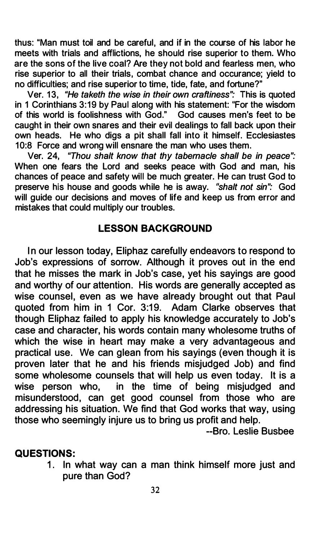thus: "Man must toil and be careful, and if in the course of his labor he meets with trials and afflictions, he should rise superior to them. Who are the sons of the live coal? Are they not bold and fearless men, who rise superior to all their trials, combat chance and occurance; yield to no difficulties; and rise superior to time, tide, fate, and fortune?"

Ver. 13, "He taketh the wise in their own craftiness": This is quoted in 1 Corinthians 3: 19 by Paul along with his statement: "For the wisdom of this world is foolishness with God." God causes men's feet to be caught in their own snares and their evil dealings to fall back upon their own heads. He who digs a pit shall fall into it himself. Ecclesiastes 10:8 Force and wrong will ensnare the man who uses them.

Ver. 24, 'Thou shalt know that thy tabernacle shall be in peace": When one fears the Lord and seeks peace with God and man, his chances of peace and safety will be much greater. He can trust God to preserve his house and goods while he is away. "shalt not sin": God will guide our decisions and moves of life and keep us from error and mistakes that could multiply our troubles.

### LESSON BACKGROUND

In our lesson today, Eliphaz carefully endeavors to respond to Job's expressions of sorrow. Although it proves out in the end that he misses the mark in Job's case, yet his sayings are good and worthy of our attention. His words are generally accepted as wise counsel, even as we have already brought out that Paul quoted from him in 1 Cor. 3:19. Adam Clarke observes that though Eliphaz failed to apply his knowledge accurately to Job's case and character, his words contain many wholesome truths of which the wise in heart may make a very advantageous and practical use. We can glean from his sayings (even though it is proven later that he and his friends misjudged Job) and find some wholesome counsels that will help us even today. It is a wise person who, in the time of being misjudged and misunderstood, can get good counsel from those who are addressing his situation. We find that God works that way, using those who seemingly injure us to bring us profit and help.

--Bro. Leslie Busbee

#### QUESTIONS:

1. In what way can a man think himself more just and pure than God?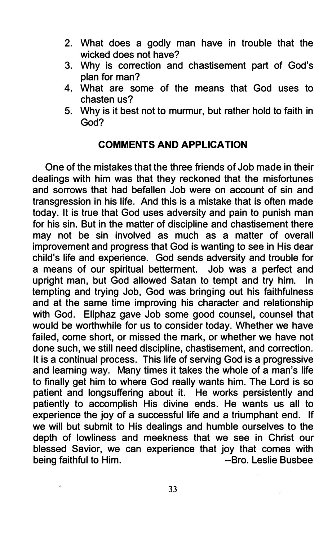- 2. What does a godly man have in trouble that the wicked does not have?
- 3. Why is correction and chastisement part of God's plan for man?
- 4. What are some of the means that God uses to chasten us?
- 5. Why is it best not to murmur, but rather hold to faith in God?

# COMMENTS AND APPLICATION

One of the mistakes that the three friends of Job made in their dealings with him was that they reckoned that the misfortunes and sorrows that had befallen Job were on account of sin and transgression in his life. And this is a mistake that is often made today. It is true that God uses adversity and pain to punish man for his sin. But in the matter of discipline and chastisement there may not be sin involved as much as a matter of overall improvement and progress that God is wanting to see in His dear child's life and experience. God sends adversity and trouble for a means of our spiritual betterment. Job was a perfect and upright man, but God allowed Satan to tempt and try him. In tempting and trying Job, God was bringing out his faithfulness and at the same time improving his character and relationship with God. Eliphaz gave Job some good counsel, counsel that would be worthwhile for us to consider today. Whether we have failed, come short, or missed the mark, or whether we have not done such, we still need discipline, chastisement, and correction. It is a continual process. This life of serving God is a progressive and learning way. Many times it takes the whole of a man's life to finally get him to where God really wants him. The Lord is so patient and longsuffering about it. He works persistently and patiently to accomplish His divine ends. He wants us all to experience the joy of a successful life and a triumphant end. If we will but submit to His dealings and humble ourselves to the depth of lowliness and meekness that we see in Christ our blessed Savior, we can experience that joy that comes with being faithful to Him. The state of the Subset of the Busbee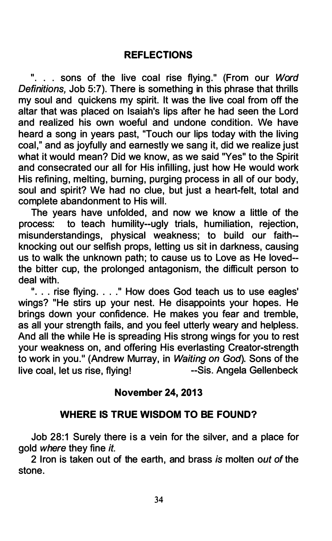". . . sons of the live coal rise flying." (From our Word Definitions, Job 5:7). There is something in this phrase that thrills my soul and quickens my spirit. It was the live coal from off the altar that was placed on Isaiah's lips after he had seen the Lord and realized his own woeful and undone condition. We have heard a song in years past, "Touch our lips today with the living coal," and as joyfully and earnestly we sang it, did we realize just what it would mean? Did we know, as we said "Yes" to the Spirit and consecrated our all for His infilling, just how He would work His refining, melting, burning, purging process in all of our body, soul and spirit? We had no clue, but just a heart-felt, total and complete abandonment to His will.

The years have unfolded, and now we know a little of the process: to teach humility--ugly trials, humiliation, rejection, misunderstandings, physical weakness; to build our faith knocking out our selfish props, letting us sit in darkness, causing us to walk the unknown path; to cause us to Love as He loved the bitter cup, the prolonged antagonism, the difficult person to deal with.

". . . rise flying. . . ." How does God teach us to use eagles' wings? "He stirs up your nest. He disappoints your hopes. He brings down your confidence. He makes you fear and tremble, as all your strength fails, and you feel utterly weary and helpless. And all the while He is spreading His strong wings for you to rest your weakness on, and offering His everlasting Creator-strength to work in you." (Andrew Murray, in Waiting on God). Sons of the live coal, let us rise, flying!<br>
--Sis. Angela Gellenbeck

# November 24, 2013

# WHERE IS TRUE WISDOM TO BE FOUND?

Job 28:1 Surely there is a vein for the silver, and a place for aold where they fine it.

2 Iron is taken out of the earth, and brass is molten out of the stone.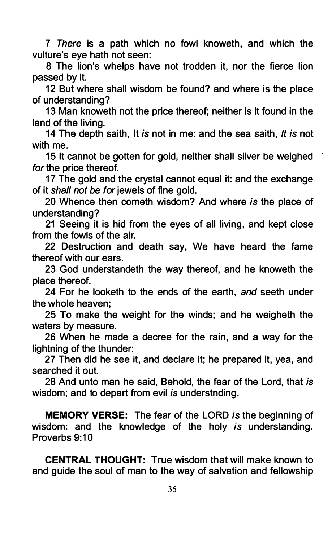7 There is a path which no fowl knoweth, and which the vulture's eye hath not seen:

8 The lion's whelps have not trodden it, nor the fierce lion passed by it.

12 But where shall wisdom be found? and where is the place of understanding?

13 Man knoweth not the price thereof; neither is it found in the land of the living.

14 The depth saith, It is not in me: and the sea saith, It is not with me.

15 It cannot be gotten for gold, neither shall silver be weighed for the price thereof.

17 The gold and the crystal cannot equal it: and the exchange of it shall not be for jewels of fine gold.

20 Whence then cometh wisdom? And where is the place of understanding?

21 Seeing it is hid from the eyes of all living, and kept close from the fowls of the air.

22 Destruction and death say, We have heard the fame thereof with our ears.

23 God understandeth the way thereof, and he knoweth the place thereof.

24 For he looketh to the ends of the earth, and seeth under the whole heaven;

25 To make the weight for the winds; and he weigheth the waters by measure.

26 When he made a decree for the rain, and a way for the lightning of the thunder:

27 Then did he see it, and declare it; he prepared it, yea, and searched it out.

28 And unto man he said, Behold, the fear of the Lord, that is wisdom; and to depart from evil is understnding.

MEMORY VERSE: The fear of the LORD is the beginning of wisdom: and the knowledge of the holy is understanding. Proverbs 9:10

CENTRAL THOUGHT: True wisdom that will make known to and guide the soul of man to the way of salvation and fellowship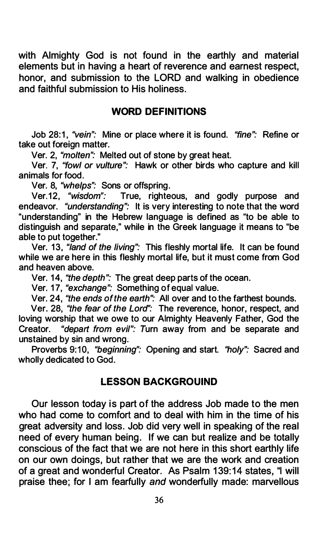with Almighty God is not found in the earthly and material elements but in having a heart of reverence and earnest respect, honor, and submission to the LORD and walking in obedience and faithful submission to His holiness.

# WORD DEFINITIONS

Job 28:1, "vein": Mine or place where it is found. "fine": Refine or take out foreign matter.

Ver. 2, "molten": Melted out of stone by great heat.

Ver. 7, "fowl or vulture": Hawk or other birds who capture and kill animals for food.

Ver. 8, "whelps": Sons or offspring.

Ver.12, "wisdom": True, righteous, and godly purpose and endeavor. *"understanding":* It is very interesting to note that the word "understanding" in the Hebrew language is defined as "to be able to distinguish and separate," while in the Greek language it means to "be able to put together."

Ver. 13, "land of the living": This fleshly mortal life. It can be found while we are here in this fleshly mortal life, but it must come from God and heaven above.

Ver. 14, "the depth": The great deep parts of the ocean.

Ver. 17, "exchange": Something of equal value.

Ver. 24, "the ends of the earth": All over and to the farthest bounds.

Ver. 28, "the fear of the Lord": The reverence, honor, respect, and loving worship that we owe to our Almighty Heavenly Father, God the Creator. "depart from evil": Turn away from and be separate and unstained by sin and wrong.

Proverbs 9:10, "beginning": Opening and start. "holy": Sacred and wholly dedicated to God.

# LESSON BACKGROUIND

Our lesson today is part of the address Job made to the men who had come to comfort and to deal with him in the time of his great adversity and loss. Job did very well in speaking of the real need of every human being. If we can but realize and be totally conscious of the fact that we are not here in this short earthly life on our own doings, but rather that we are the work and creation of a great and wonderful Creator. As Psalm 139: 14 states, "I will praise thee; for I am fearfully and wonderfully made: marvellous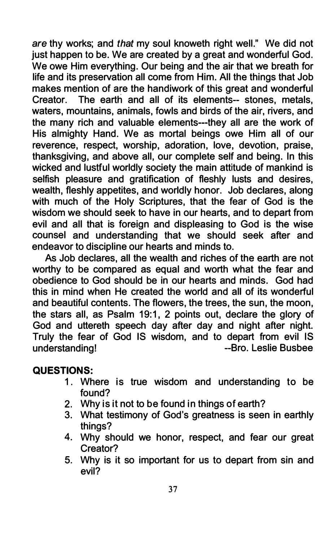are thy works; and that my soul knoweth right well." We did not just happen to be. We are created by a great and wonderful God. We owe Him everything. Our being and the air that we breath for life and its preservation all come from Him. All the things that Job makes mention of are the handiwork of this great and wonderful Creator. The earth and all of its elements-- stones, metals, waters, mountains, animals, fowls and birds of the air, rivers, and the many rich and valuable elements---they all are the work of His almighty Hand. We as mortal beings owe Him all of our reverence, respect, worship, adoration, love, devotion, praise, thanksgiving, and above all, our complete self and being. In this wicked and lustful worldly society the main attitude of mankind is selfish pleasure and gratification of fleshly lusts and desires, wealth, fleshly appetites, and worldly honor. Job declares, along with much of the Holy Scriptures, that the fear of God is the wisdom we should seek to have in our hearts, and to depart from evil and all that is foreign and displeasing to God is the wise counsel and understanding that we should seek after and endeavor to discipline our hearts and minds to.

As Job declares, all the wealth and riches of the earth are not worthy to be compared as equal and worth what the fear and obedience to God should be in our hearts and minds. God had this in mind when He created the world and all of its wonderful and beautiful contents. The flowers, the trees, the sun, the moon, the stars all, as Psalm 19:1, 2 points out, declare the glory of God and uttereth speech day after day and night after night. Truly the fear of God IS wisdom, and to depart from evil IS understanding! The Contract of the Contract of Testic Busbee

# QUESTIONS:

- 1. Where is true wisdom and understanding to be found?
- 2. Why is it not to be found in things of earth?
- 3. What testimony of God's greatness is seen in earthly things?
- 4. Why should we honor, respect, and fear our great Creator?
- 5. Why is it so important for us to depart from sin and evil?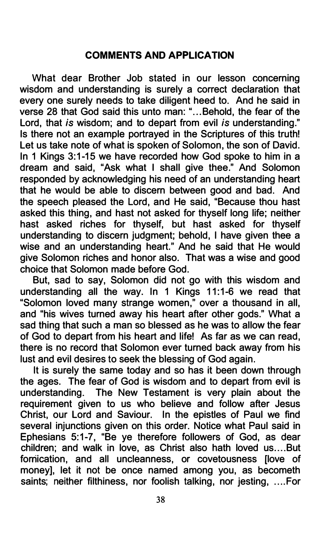# COMMENTS AND APPLICATION

What dear Brother Job stated in our lesson concerning wisdom and understanding is surely a correct declaration that every one surely needs to take diligent heed to. And he said in verse 28 that God said this unto man: " . .. Behold, the fear of the Lord, that is wisdom; and to depart from evil is understanding." Is there not an example portrayed in the Scriptures of this truthl Let us take note of what is spoken of Solomon, the son of David. In 1 Kings 3:1-15 we have recorded how God spoke to him in a dream and said, "Ask what I shall give thee." And Solomon responded by acknowledging his need of an understanding heart that he would be able to discern between good and bad. And the speech pleased the Lord, and He said, "Because thou hast asked this thing, and hast not asked for thyself long life; neither hast asked riches for thyself, but hast asked for thyself understanding to discern judgment; behold, I have given thee a wise and an understanding heart." And he said that He would give Solomon riches and honor also. That was a wise and good choice that Solomon made before God.

But, sad to say, Solomon did not go with this wisdom and understanding all the way. In 1 Kings 11:1-6 we read that "Solomon loved many strange women," over a thousand in all, and "his wives turned away his heart after other gods." What a sad thing that such a man so blessed as he was to allow the fear of God to depart from his heart and lifel As far as we can read, there is no record that Solomon ever turned back away from his lust and evil desires to seek the blessing of God again.

It is surely the same today and so has it been down through the ages. The fear of God is wisdom and to depart from evil is understanding. The New Testament is very plain about the requirement given to us who believe and follow after Jesus Christ, our Lord and Saviour. In the epistles of Paul we find several injunctions given on this order. Notice what Paul said in Ephesians 5:1-7, "Be ye therefore followers of God, as dear children; and walk in love, as Christ also hath loved us .... But fornication, and all uncleanness, or covetousness [love of money], let it not be once named among you, as becometh saints; neither filthiness, nor foolish talking, nor jesting, .... For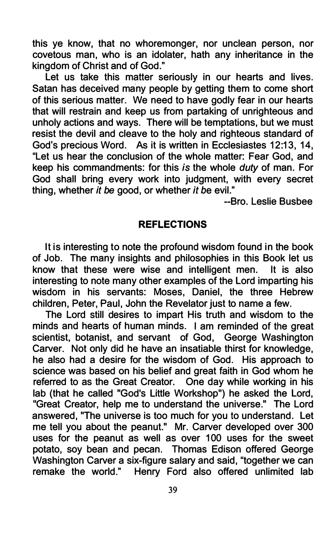this ye know, that no whoremonger, nor unclean person, nor covetous man, who is an idolater, hath any inheritance in the kingdom of Christ and of God."

Let us take this matter seriously in our hearts and lives. Satan has deceived many people by getting them to come short of this serious matter. We need to have godly fear in our hearts that will restrain and keep us from partaking of unrighteous and unholy actions and ways. There will be temptations, but we must resist the devil and cleave to the holy and righteous standard of God's precious Word. As it is written in Ecclesiastes 12:13, 14, "Let us hear the conclusion of the whole matter: Fear God, and keep his commandments: for this is the whole duty of man. For God shall bring every work into judgment, with every secret thing, whether it be good, or whether it be evil."

--Bro. Leslie Busbee

#### REFLECTIONS

It is interesting to note the profound wisdom found in the book of Job. The many insights and philosophies in this Book let us know that these were wise and intelligent men. It is also interesting to note many other examples of the Lord imparting his wisdom in his servants: Moses, Daniel, the three Hebrew children, Peter, Paul, John the Revelator just to name a few.

The Lord still desires to impart His truth and wisdom to the minds and hearts of human minds. I am reminded of the great scientist, botanist, and servant of God, George Washington Carver. Not only did he have an insatiable thirst for knowledge, he also had a desire for the wisdom of God. His approach to science was based on his belief and great faith in God whom he referred to as the Great Creator. One day while working in his lab (that he called "God's Little Workshop") he asked the Lord, "Great Creator, help me to understand the universe." The Lord answered, "The universe is too much for you to understand. Let me tell you about the peanut." Mr. Carver developed over 300 uses for the peanut as well as over 100 uses for the sweet potato, soy bean and pecan. Thomas Edison offered George Washington Carver a six-figure salary and said, "together we can remake the world." Henry Ford also offered unlimited lab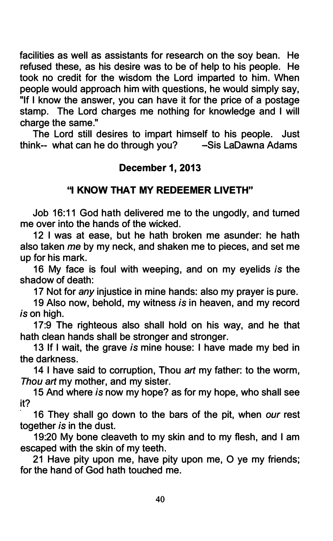facilities as well as assistants for research on the soy bean. He refused these, as his desire was to be of help to his people. He took no credit for the wisdom the Lord imparted to him. When people would approach him with questions, he would simply say, "If I know the answer, you can have it for the price of a postage stamp. The Lord charges me nothing for knowledge and I will charge the same."

The Lord still desires to impart himself to his people. Just<br>hk-- what can he do through you? -Sis LaDawna Adams think-- what can he do through you?

# December 1, 2013

# "I KNOW THAT MY REDEEMER LIVETH"

Job 16:11 God hath delivered me to the ungodly, and turned me over into the hands of the wicked.

12 I was at ease, but he hath broken me asunder: he hath also taken me by my neck, and shaken me to pieces, and set me up for his mark.

16 My face is foul with weeping, and on my eyelids is the shadow of death:

17 Not for any injustice in mine hands: also my prayer is pure.

19 Also now, behold, my witness is in heaven, and my record is on high.

17:9 The righteous also shall hold on his way, and he that hath clean hands shall be stronger and stronger.

13 If I wait, the grave is mine house: I have made my bed in the darkness.

14 I have said to corruption, Thou art my father: to the worm, Thou art my mother, and my sister.

15 And where is now my hope? as for my hope, who shall see it?

16 They shall go down to the bars of the pit, when our rest together is in the dust.

19:20 My bone cleaveth to my skin and to my flesh, and I am escaped with the skin of my teeth.

21 Have pity upon me, have pity upon me, 0 ye my friends; for the hand of God hath touched me.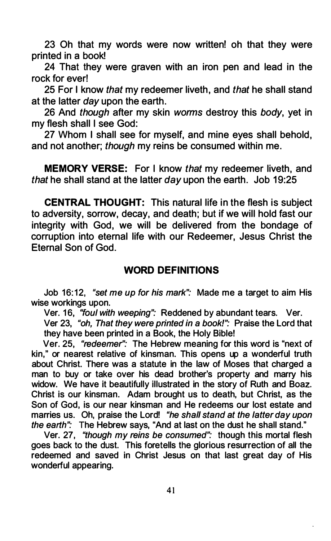23 Oh that my words were now written! oh that they were printed in a bookl

24 That they were graven with an iron pen and lead in the rock for ever!

25 For I know that my redeemer liveth, and that he shall stand at the latter day upon the earth.

26 And though after my skin worms destroy this body, yet in my flesh shall I see God:

27 Whom I shall see for myself, and mine eyes shall behold, and not another; though my reins be consumed within me.

MEMORY VERSE: For I know that my redeemer liveth, and that he shall stand at the latter day upon the earth. Job 19:25

CENTRAL THOUGHT: This natural life in the flesh is subject to adversity, sorrow, decay, and death; but if we will hold fast our integrity with God, we will be delivered from the bondage of corruption into eternal life with our Redeemer, Jesus Christ the Eternal Son of God.

### WORD DEFINITIONS

Job 16:12, "set me up for his mark": Made me a target to aim His wise workings upon.

Ver. 16, "foul with weeping": Reddened by abundant tears. Ver. Ver 23, "oh, That they were printed in a book!": Praise the Lord that they have been printed in a Book, the Holy Bible!

Ver. 25, "redeemer": The Hebrew meaning for this word is "next of kin," or nearest relative of kinsman. This opens up a wonderful truth about Christ. There was a statute in the law of Moses that charged a man to buy or take over his dead brother's property and marry his widow. We have it beautifully illustrated in the story of Ruth and Boaz. Christ is our kinsman. Adam brought us to death, but Christ, as the Son of God, is our near kinsman and He redeems our lost estate and marries us. Oh, praise the Lord! "he shall stand at the latter day upon the earth": The Hebrew says, "And at last on the dust he shall stand."

Ver. 27, "though my reins be consumed": though this mortal flesh goes back to the dust. This foretells the glorious resurrection of all the redeemed and saved in Christ Jesus on that last great day of His wonderful appearing.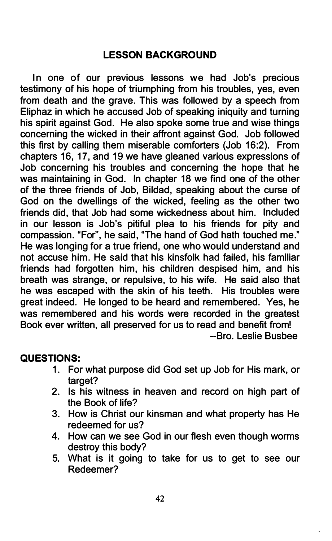# LESSON BACKGROUND

In one of our previous lessons we had Job's precious testimony of his hope of triumphing from his troubles, yes, even from death and the grave. This was followed by a speech from Eliphaz in which he accused Job of speaking iniquity and turning his spirit against God. He also spoke some true and wise things concerning the wicked in their affront against God. Job followed this first by calling them miserable comforters (Job 16:2). From chapters 16, 17, and 19 we have gleaned various expressions of Job concerning his troubles and concerning the hope that he was maintaining in God. In chapter 18 we find one of the other of the three friends of Job, Bildad, speaking about the curse of God on the dwellings of the wicked, feeling as the other two friends did, that Job had some wickedness about him. Included in our lesson is Job's pitiful plea to his friends for pity and compassion. "For", he said, "The hand of God hath touched me." He was longing for a true friend, one who would understand and not accuse him. He said that his kinsfolk had failed, his familiar friends had forgotten him, his children despised him, and his breath was strange, or repulsive, to his wife. He said also that he was escaped with the skin of his teeth. His troubles were great indeed. He longed to be heard and remembered. Yes, he was remembered and his words were recorded in the greatest Book ever written, all preserved for us to read and benefit from! --Bro. Leslie Busbee

# QUESTIONS:

- 1. For what purpose did God set up Job for His mark, or target?
- 2. Is his witness in heaven and record on high part of the Book of life?
- 3. How is Christ our kinsman and what property has He redeemed for us?
- 4. How can we see God in our flesh even though worms destroy this body?
- 5. What is it going to take for us to get to see our Redeemer?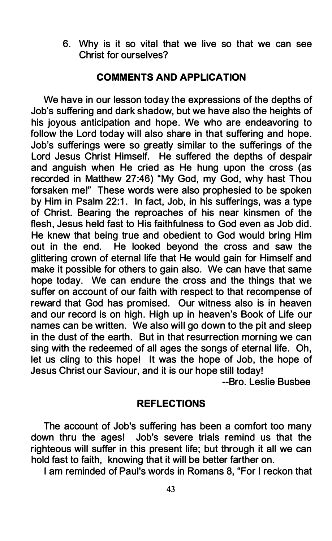6. Why is it so vital that we live so that we can see Christ for ourselves?

### COMMENTS AND APPLICATION

We have in our lesson today the expressions of the depths of Job's suffering and dark shadow, but we have also the heights of his joyous anticipation and hope. We who are endeavoring to follow the Lord today will also share in that suffering and hope. Job's sufferings were so greatly similar to the sufferings of the Lord Jesus Christ Himself. He suffered the depths of despair and anguish when He cried as He hung upon the cross (as recorded in Matthew 27:46) "My God, my God, why hast Thou forsaken me!" These words were also prophesied to be spoken by Him in Psalm 22:1. In fact, Job, in his sufferings, was a type of Christ. Bearing the reproaches of his near kinsmen of the flesh, Jesus held fast to His faithfulness to God even as Job did. He knew that being true and obedient to God would bring Him out in the end. He looked beyond the cross and saw the glittering crown of eternal life that He would gain for Himself and make it possible for others to gain also. We can have that same hope today. We can endure the cross and the things that we suffer on account of our faith with respect to that recompense of reward that God has promised. Our witness also is in heaven and our record is on high. High up in heaven's Book of Life our names can be written. We also will go down to the pit and sleep in the dust of the earth. But in that resurrection morning we can sing with the redeemed of all ages the songs of eternal life. Oh, let us cling to this hope! It was the hope of Job, the hope of Jesus Christ our Saviour, and it is our hope still today!

--Bro. Leslie Busbee

### REFLECTIONS

The account of Job's suffering has been a comfort too many down thru the ages! Job's severe trials remind us that the righteous will suffer in this present life; but through it all we can hold fast to faith, knowing that it will be better farther on.

I am reminded of Paul's words in Romans 8, "For I reckon that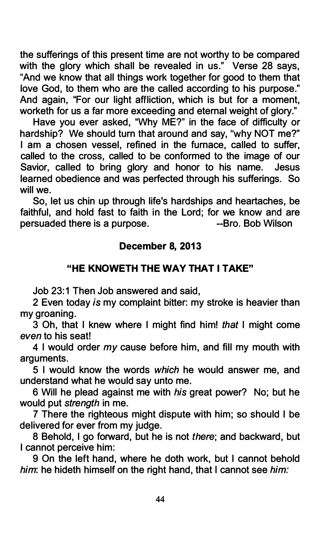the sufferings of this present time are not worthy to be compared with the glory which shall be revealed in us." Verse 28 says, "And we know that all things work together for good to them that love God, to them who are the called according to his purpose." And again, "For our light affliction, which is but for a moment, worketh for us a far more exceeding and eternal weight of glory."

Have you ever asked, "Why ME?" in the face of difficulty or hardship? We should turn that around and say, "why NOT me?" I am a chosen vessel, refined in the furnace, called to suffer, called to the cross, called to be conformed to the image of our Savior, called to bring glory and honor to his name. Jesus learned obedience and was perfected through his sufferings. So will we.

So, let us chin up through life's hardships and heartaches, be faithful, and hold fast to faith in the Lord; for we know and are persuaded there is a purpose. The same series are set of the process of the process of the process points of the process of the process of the process of the process of the process of the process of the process of the proc

# December 8, 2013

# "HE KNOWETH THE WAY THAT I TAKE"

Job 23:1 Then Job answered and said.

2 Even today is my complaint bitter: my stroke is heavier than my groaning.

3 Oh, that I knew where I might find him! that I might come even to his seat!

4 I would order my cause before him, and fill my mouth with arguments.

5 I would know the words which he would answer me, and understand what he would say unto me.

6 Will he plead against me with his great power? No; but he would put *strength* in me.

7 There the righteous might dispute with him; so should I be delivered for ever from my judge.

8 Behold, I go forward, but he is not there; and backward, but I cannot perceive him:

9 On the left hand, where he doth work, but I cannot behold him: he hideth himself on the right hand, that I cannot see him: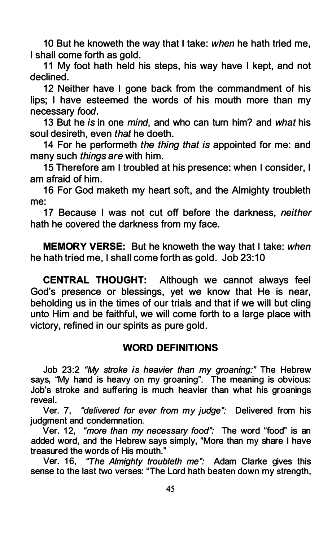10 But he knoweth the way that I take: when he hath tried me, I shall come forth as gold.

11 My foot hath held his steps, his way have I kept, and not declined.

12 Neither have I gone back from the commandment of his lips; I have esteemed the words of his mouth more than my necessary food.

13 But he is in one mind, and who can turn him? and what his soul desireth, even that he doeth.

14 For he performeth the thing that is appointed for me: and many such things are with him.

15 Therefore am I troubled at his presence: when I consider, I am afraid of him.

16 For God maketh my heart soft, and the Almighty troubleth me:

17 Because I was not cut off before the darkness, neither hath he covered the darkness from my face.

**MEMORY VERSE:** But he knoweth the way that I take: when he hath tried me, I shall come forth as gold. Job 23:10

CENTRAL THOUGHT: Although we cannot always feel God's presence or blessings, yet we know that He is near, beholding us in the times of our trials and that if we will but cling unto Him and be faithful, we will come forth to a large place with victory, refined in our spirits as pure gold.

# WORD DEFINITIONS

Job 23:2 "My stroke is heavier than my groaning:" The Hebrew says, "My hand is heavy on my groaning". The meaning is obvious: Job's stroke and suffering is much heavier than what his groanings reveal.

Ver. 7, "delivered for ever from my judge": Delivered from his judgment and condemnation.

Ver. 12, "more than my necessary food": The word "food" is an added word, and the Hebrew says simply, "More than my share I have treasured the words of His mouth."

Ver. 16, "The Almighty troubleth me": Adam Clarke gives this sense to the last two verses: "The Lord hath beaten down my strength,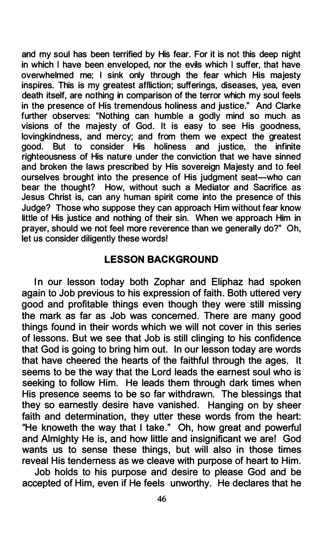and my soul has been terrified by His fear. For it is not this deep night in which I have been enveloped, nor the evils which I suffer, that have overwhelmed me; I sink only through the fear which His majesty inspires. This is my greatest affliction; sufferings, diseases, yea, even death itself, are nothing in comparison of the terror which my soul feels in the presence of His tremendous holiness and justice." And Clarke further observes: "Nothing can humble a godly mind so much as visions of the majesty of God. It is easy to see His goodness, lovingkindness, and mercy; and from them we expect the greatest good. But to consider His holiness righteousness of His nature under the conviction that we have sinned and broken the laws prescribed by His sovereign Majesty and to feel ourselves brought into the presence of His judgment seat-who can bear the thought? How, without such a Mediator and Sacrifice as Jesus Christ is, can any human spirit come into the presence of this Judge? Those who suppose they can approach Him without fear know little of His justice and nothing of their sin. When we approach Him in prayer, should we not feel more reverence than we generally do?" Oh, let us consider diligently these words!

### LESSON BACKGROUND

In our lesson today both Zophar and Eliphaz had spoken again to Job previous to his expression of faith. Both uttered very good and profitable things even though they were still missing the mark as far as Job was concerned. There are many good things found in their words which we will not cover in this series of lessons. But we see that Job is still clinging to his confidence that God is going to bring him out. In our lesson today are words that have cheered the hearts of the faithful through the ages. It seems to be the way that the Lord leads the earnest soul who is seeking to follow Him. He leads them through dark times when His presence seems to be so far withdrawn. The blessings that they so earnestly desire have vanished. Hanging on by sheer faith and determination, they utter these words from the heart: "He knoweth the way that I take." Oh, how great and powerful and Almighty He is, and how little and insignificant we are! God wants us to sense these things, but will also in those times reveal His tenderness as we cleave with purpose of heart to Him.

Job holds to his purpose and desire to please God and be accepted of Him, even if He feels unworthy. He declares that he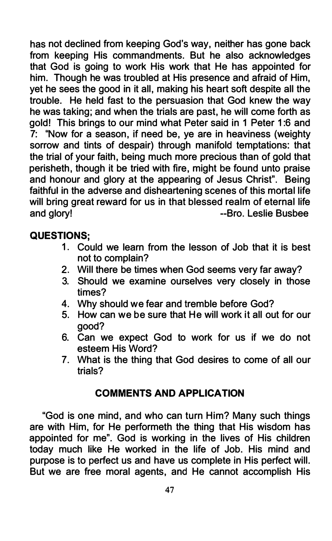has not declined from keeping God's way, neither has gone back from keeping His commandments. But he also acknowledges that God is going to work His work that He has appointed for him. Though he was troubled at His presence and afraid of Him, yet he sees the good in it all, making his heart soft despite all the trouble. He held fast to the persuasion that God knew the way he was taking; and when the trials are past, he will come forth as gold! This brings to our mind what Peter said in 1 Peter 1 :6 and 7: ''Now for a season, if need be, ye are in heaviness (weighty sorrow and tints of despair) through manifold temptations: that the trial of your faith, being much more precious than of gold that perisheth, though it be tried with fire, might be found unto praise and honour and glory at the appearing of Jesus Christ". Being faithful in the adverse and disheartening scenes of this mortal life will bring great reward for us in that blessed realm of eternal life and glory! **--Bro.** Leslie Busbee

# QUESTIONS;

- 1. Could we learn from the lesson of Job that it is best not to complain?
- 2. Will there be times when God seems very far away?
- 3. Should we examine ourselves very closely in those times?
- 4. Why should we fear and tremble before God?
- 5. How can we be sure that He will work it all out for our good?
- 6. Can we expect God to work for us if we do not esteem His Word?
- 7. What is the thing that God desires to come of all our trials?

# COMMENTS AND APPLICATION

"God is one mind, and who can turn Him? Many such things are with Him, for He performeth the thing that His wisdom has appointed for me". God is working in the lives of His children today much like He worked in the life of Job. His mind and purpose is to perfect us and have us complete in His perfect will. But we are free moral agents, and He cannot accomplish His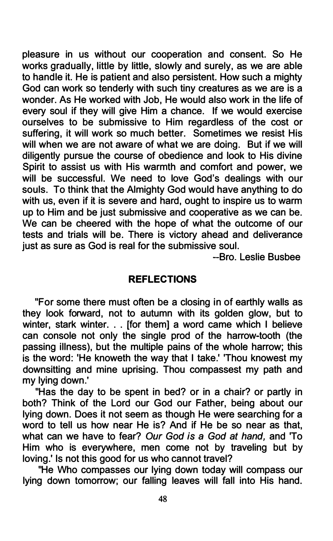pleasure in us without our cooperation and consent. So He works gradually, little by little, slowly and surely, as we are able to handle it. He is patient and also persistent. How such a mighty God can work so tenderly with such tiny creatures as we are is a wonder. As He worked with Job, He would also work in the life of every soul if they will give Him a chance. If we would exercise ourselves to be submissive to Him regardless of the cost or suffering, it will work so much better. Sometimes we resist His will when we are not aware of what we are doing. But if we will diligently pursue the course of obedience and look to His divine Spirit to assist us with His warmth and comfort and power, we will be successful. We need to love God's dealings with our souls. To think that the Almighty God would have anything to do with us, even if it is severe and hard, ought to inspire us to warm up to Him and be just submissive and cooperative as we can be. We can be cheered with the hope of what the outcome of our tests and trials will be. There is victory ahead and deliverance just as sure as God is real for the submissive soul.

--Bro. Leslie Busbee

#### REFLECTIONS

"For some there must often be a closing in of earthly walls as they look forward, not to autumn with its golden glow, but to winter, stark winter. . . [for them] a word came which I believe can console not only the single prod of the harrow-tooth (the passing illness), but the multiple pains of the whole harrow; this is the word: 'He knoweth the way that I take.' 'Thou knowest my downsitting and mine uprising. Thou compassest my path and my lying down.'

"Has the day to be spent in bed? or in a chair? or partly in both? Think of the Lord our God our Father, being about our lying down. Does it not seem as though He were searching for a word to tell us how near He is? And if He be so near as that, what can we have to fear? Our God is a God at hand, and 'To Him who is everywhere, men come not by traveling but by loving.' Is not this good for us who cannot travel?

"He Who compasses our lying down today will compass our lying down tomorrow; our falling leaves will fall into His hand.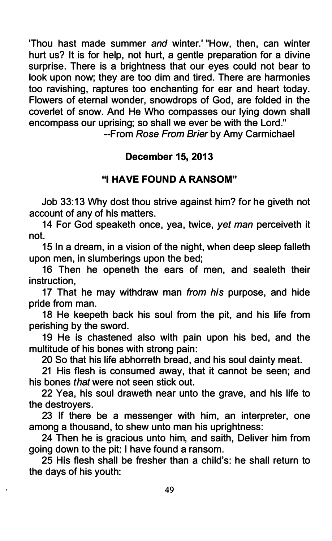'Thou hast made summer and winter.' "How, then, can winter hurt us? It is for help, not hurt, a gentle preparation for a divine surprise. There is a brightness that our eyes could not bear to look upon now; they are too dim and tired. There are harmonies too ravishing, raptures too enchanting for ear and heart today. Flowers of eternal wonder, snowdrops of God, are folded in the coverlet of snow. And He Who compasses our lying down shall encompass our uprising; so shall we ever be with the Lord."

--From Rose From Brier by Amy Carmichael

### December 15, 2013

# "I HAVE FOUND A RANSOM"

Job 33: 13 Why dost thou strive against him? for he giveth not account of any of his matters.

14 For God speaketh once, yea, twice, yet man perceiveth it not.

15 In a dream, in a vision of the night, when deep sleep falleth upon men, in slumberings upon the bed;

16 Then he openeth the ears of men, and sealeth their instruction,

17 That he may withdraw man from his purpose, and hide pride from man.

18 He keepeth back his soul from the pit, and his life from perishing by the sword.

19 He is chastened also with pain upon his bed, and the multitude of his bones with strong pain:

20 So that his life abhorreth bread, and his soul dainty meat.

21 His flesh is consumed away, that it cannot be seen; and his bones that were not seen stick out.

22 Yea, his soul draweth near unto the grave, and his life to the destroyers.

23 If there be a messenger with him, an interpreter, one among a thousand, to shew unto man his uprightness:

24 Then he is gracious unto him, and saith, Deliver him from going down to the pit: I have found a ransom.

25 His flesh shall be fresher than a child's: he shall return to the days of his youth: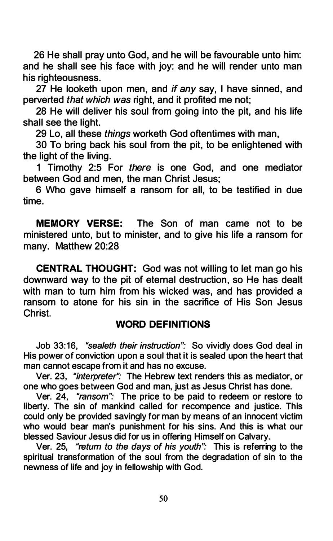26 He shall pray unto God, and he will be favourable unto him: and he shall see his face with joy: and he will render unto man his righteousness.

27 He looketh upon men, and if any say, I have sinned, and perverted that which was right, and it profited me not;

28 He will deliver his soul from going into the pit, and his life shall see the light.

29 Lo, all these things worketh God oftentimes with man,

30 To bring back his soul from the pit, to be enlightened with the light of the living.

1 Timothy 2:5 For there is one God, and one mediator between God and men, the man Christ Jesus;

6 Who gave himself a ransom for all, to be testified in due time.

MEMORY VERSE: The Son of man came not to be ministered unto, but to minister, and to give his life a ransom for many. Matthew 20:28

CENTRAL THOUGHT: God was not willing to let man go his downward way to the pit of eternal destruction, so He has dealt with man to turn him from his wicked was, and has provided a ransom to atone for his sin in the sacrifice of His Son Jesus Christ.

# WORD DEFINITIONS

Job 33:16, "sealeth their instruction": So vividly does God deal in His power of conviction upon a soul that it is sealed upon the heart that man cannot escape from it and has no excuse.

Ver. 23, "interpreter": The Hebrew text renders this as mediator, or one who goes between God and man, just as Jesus Christ has done.

Ver. 24, "ransom": The price to be paid to redeem or restore to liberty. The sin of mankind called for recompence and justice. This could only be provided savingly for man by means of an innocent victim who would bear man's punishment for his sins. And this is what our blessed Saviour Jesus did for us in offering Himself on Calvary.

Ver. 25, "return to the days of his youth": This is referring to the spiritual transformation of the soul from the degradation of sin to the newness of life and joy in fellowship with God.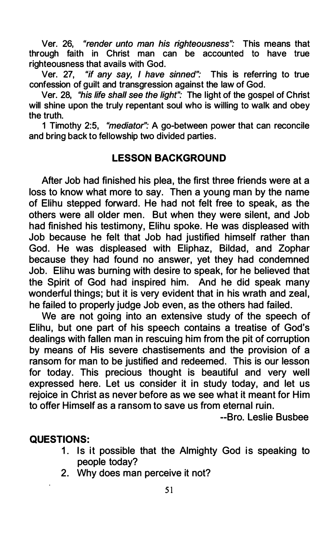Ver. 26, "render unto man his righteousness": This means that through faith in Christ man can be accounted to have true righteousness that avails with God.

Ver. 27, "if any say, I have sinned": This is referring to true confession of guilt and transgression against the law of God.

Ver. 28, "his life shall see the light": The light of the gospel of Christ will shine upon the truly repentant soul who is willing to walk and obey the truth.

1 Timothy 2:5, "mediator": A go-between power that can reconcile and bring back to fellowship two divided parties.

### LESSON BACKGROUND

After Job had finished his plea, the first three friends were at a loss to know what more to say. Then a young man by the name of Elihu stepped forward. He had not felt free to speak, as the others were all older men. But when they were silent, and Job had finished his testimony, Elihu spoke. He was displeased with Job because he felt that Job had justified himself rather than God. He was displeased with Eliphaz, Bildad, and Zophar because they had found no answer, yet they had condemned Job. Elihu was burning with desire to speak, for he believed that the Spirit of God had inspired him. And he did speak many wonderful things; but it is very evident that in his wrath and zeal, he failed to properly judge Job even, as the others had failed.

We are not going into an extensive study of the speech of Elihu, but one part of his speech contains a treatise of God's dealings with fallen man in rescuing him from the pit of corruption by means of His severe chastisements and the provision of a ransom for man to be justified and redeemed. This is our lesson for today. This precious thought is beautiful and very well expressed here. Let us consider it in study today, and let us rejoice in Christ as never before as we see what it meant for Him to offer Himself as a ransom to save us from eternal ruin.

--Bro. Leslie Busbee

#### QUESTIONS:

- 1. Is it possible that the Almighty God is speaking to people today?
- 2. Why does man perceive it not?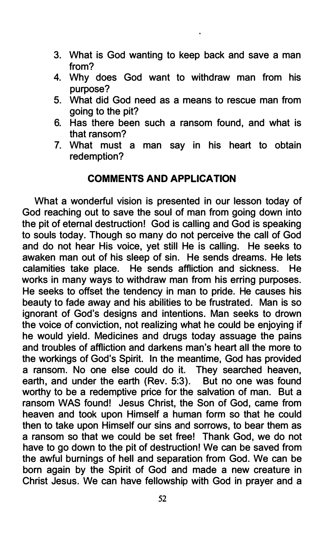- 3. What is God wanting to keep back and save a man from?
- 4. Why does God want to withdraw man from his purpose?
- 5. What did God need as a means to rescue man from going to the pit?
- 6. Has there been such a ransom found, and what is that ransom?
- 7. What must a man say in his heart to obtain redemption?

# COMMENTS AND APPLICATION

What a wonderful vision is presented in our lesson today of God reaching out to save the soul of man from going down into the pit of eternal destruction! God is calling and God is speaking to souls today. Though so many do not perceive the call of God and do not hear His voice, yet still He is calling. He seeks to awaken man out of his sleep of sin. He sends dreams. He lets calamities take place. He sends affliction and sickness. He works in many ways to withdraw man from his erring purposes. He seeks to offset the tendency in man to pride. He causes his beauty to fade away and his abilities to be frustrated. Man is so ignorant of God's designs and intentions. Man seeks to drown the voice of conviction, not realizing what he could be enjoying if he would yield. Medicines and drugs today assuage the pains and troubles of affliction and darkens man's heart all the more to the workings of God's Spirit. In the meantime, God has provided a ransom. No one else could do it. They searched heaven, earth, and under the earth (Rev. 5:3). But no one was found worthy to be a redemptive price for the salvation of man. But a ransom WAS found! Jesus Christ, the Son of God, came from heaven and took upon Himself a human form so that he could then to take upon Himself our sins and sorrows, to bear them as a ransom so that we could be set free! Thank God, we do not have to go down to the pit of destruction! We can be saved from the awful burnings of hell and separation from God. We can be born again by the Spirit of God and made a new creature in Christ Jesus. We can have fellowship with God in prayer and a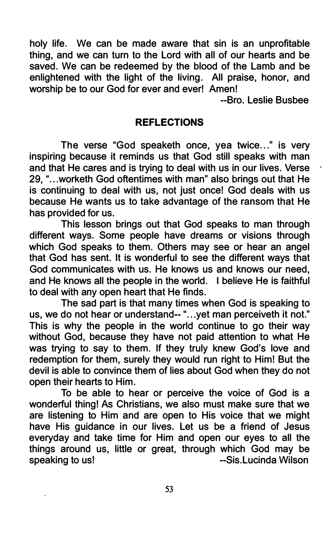holy life. We can be made aware that sin is an unprofitable thing, and we can turn to the Lord with all of our hearts and be saved. We can be redeemed by the blood of the Lamb and be enlightened with the light of the living. All praise, honor, and worship be to our God for ever and ever! Amen!

--Bro. Leslie Busbee

#### REFLECTIONS

The verse "God speaketh once, yea twice..." is very inspiring because it reminds us that God still speaks with man and that He cares and is trying to deal with us in our lives. Verse 29, "... worketh God oftentimes with man" also brings out that He is continuing to deal with us, not just once! God deals with us because He wants us to take advantage of the ransom that He has provided for us.

This lesson brings out that God speaks to man through different ways. Some people have dreams or visions through which God speaks to them. Others may see or hear an angel that God has sent. It is wonderful to see the different ways that God communicates with us. He knows us and knows our need, and He knows all the people in the world. I believe He is faithful to deal with any open heart that He finds.

The sad part is that many times when God is speaking to us, we do not hear or understand-- "...yet man perceiveth it not." This is why the people in the world continue to go their way without God, because they have not paid attention to what He was trying to say to them. If they truly knew God's love and redemption for them, surely they would run right to Him! But the devil is able to convince them of lies about God when they do not open their hearts to Him.

To be able to hear or perceive the voice of God is a wonderful thing! As Christians, we also must make sure that we are listening to Him and are open to His voice that we might have His guidance in our lives. Let us be a friend of Jesus everyday and take time for Him and open our eyes to all the things around us, little or great, through which God may be speaking to us! --Sis. Lucinda Wilson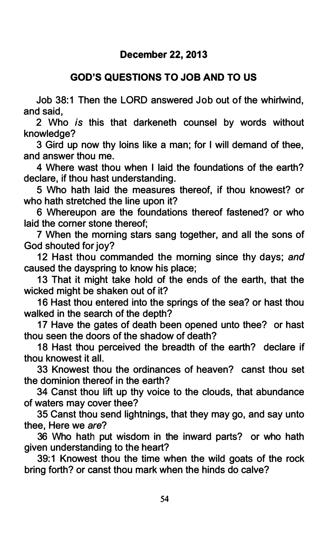# GOD'S QUESTIONS TO JOB AND TO US

Job 38:1 Then the LORD answered Job out of the whirlwind, and said,

2 Who is this that darkeneth counsel by words without knowledge?

3 Gird up now thy loins like a man; for I will demand of thee, and answer thou me.

4 Where wast thou when I laid the foundations of the earth? declare, if thou hast understanding.

5 Who hath laid the measures thereof, if thou knowest? or who hath stretched the line upon it?

6 Whereupon are the foundations thereof fastened? or who laid the corner stone thereof;

7 When the morning stars sang together, and all the sons of God shouted for joy?

12 Hast thou commanded the morning since thy days; and caused the dayspring to know his place;

13 That it might take hold of the ends of the earth, that the wicked might be shaken out of it?

16 Hast thou entered into the springs of the sea? or hast thou walked in the search of the depth?

17 Have the gates of death been opened unto thee? or hast thou seen the doors of the shadow of death?

18 Hast thou perceived the breadth of the earth? declare if thou knowest it all.

33 Knowest thou the ordinances of heaven? canst thou set the dominion thereof in the earth?

34 Canst thou lift up thy voice to the clouds, that abundance of waters may cover thee?

35 Canst thou send lightnings, that they may go, and say unto thee, Here we are?

36 Who hath put wisdom in the inward parts? or who hath given understanding to the heart?

39:1 Knowest thou the time when the wild goats of the rock bring forth? or canst thou mark when the hinds do calve?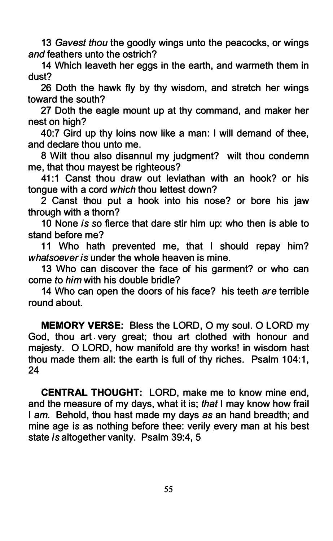13 Gavest thou the goodly wings unto the peacocks, or wings and feathers unto the ostrich?

14 Which leaveth her eggs in the earth, and warmeth them in dust?

26 Doth the hawk fly by thy wisdom, and stretch her wings toward the south?

27 Doth the eagle mount up at thy command, and maker her nest on high?

40:7 Gird up thy loins now like a man: I will demand of thee, and declare thou unto me.

8 Wilt thou also disannul my judgment? wilt thou condemn me, that thou mayest be righteous?

41:1 Canst thou draw out leviathan with an hook? or his tongue with a cord which thou lettest down?

2 Canst thou put a hook into his nose? or bore his jaw through with a thorn?

10 None is so fierce that dare stir him up: who then is able to stand before me?

11 Who hath prevented me, that I should repay him? whatsoever is under the whole heaven is mine.

13 Who can discover the face of his garment? or who can come to him with his double bridle?

14 Who can open the doors of his face? his teeth are terrible round about.

MEMORY VERSE: Bless the LORD, 0 my soul. 0 LORD my God, thou art . very great; thou art clothed with honour and majesty. 0 LORD, how manifold are thy works! in wisdom hast thou made them all: the earth is full of thy riches. Psalm 104:1, 24

CENTRAL THOUGHT: LORD, make me to know mine end, and the measure of my days, what it is; that I may know how frail I am. Behold, thou hast made my days as an hand breadth; and mine age is as nothing before thee: verily every man at his best state is altogether vanity. Psalm 39:4, 5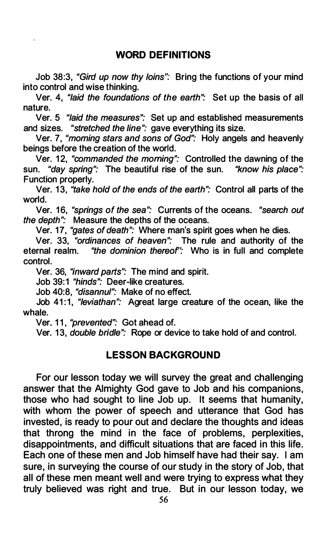Job 38:3, "Gird up now thy loins": Bring the functions of your mind into control and wise thinking.

Ver. 4, "laid the foundations of the earth": Set up the basis of all nature.

Ver. 5 "laid the measures": Set up and established measurements and sizes. "stretched the line": gave everything its size.

Ver. 7, "morning stars and sons of God": Holy angels and heavenly beings before the creation of the world.

Ver. 12, "commanded the morning": Controlled the dawning of the sun. "day spring": The beautiful rise of the sun. "know his place": Function properly.

Ver. 13, "take hold of the ends of the earth": Control all parts of the world.

Ver. 16, "springs of the sea": Currents of the oceans. "search out the depth": Measure the depths of the oceans.

Ver. 17, "gates of death": Where man's spirit goes when he dies.

Ver. 33, "ordinances of heaven": The rule and authority of the eternal realm. "the dominion thereof': Who is in full and complete control.

Ver. 36, "inward parts": The mind and spirit.

Job 39:1 "hinds": Deer-like creatures.

Job 40:8, "disannul": Make of no effect.

Job 41:1, "leviathan": Agreat large creature of the ocean, like the whale.

Ver. 11, "prevented": Got ahead of.

Ver. 13, *double bridle*": Rope or device to take hold of and control.

#### LESSON BACKGROUND

For our lesson today we will survey the great and challenging answer that the Almighty God gave to Job and his companions, those who had sought to line Job up. It seems that humanity, with whom the power of speech and utterance that God has invested, is ready to pour out and declare the thoughts and ideas that throng the mind in the face of problems, perplexities, disappointments, and difficult situations that are faced in this life. Each one of these men and Job himself have had their say. I am sure, in surveying the course of our study in the story of Job, that all of these men meant well and were trying to express what they truly believed was right and true. But in our lesson today, we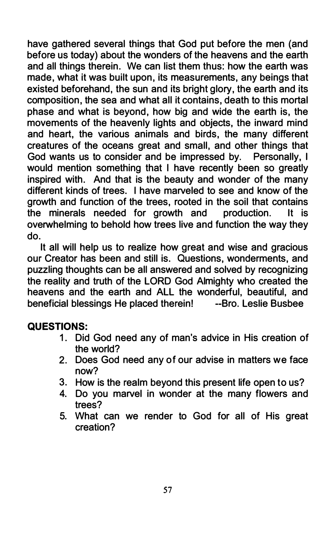have gathered several things that God put before the men (and before us today) about the wonders of the heavens and the earth and all things therein. We can list them thus: how the earth was made, what it was built upon, its measurements, any beings that existed beforehand, the sun and its bright glory, the earth and its composition, the sea and what all it contains, death to this mortal phase and what is beyond, how big and wide the earth is, the movements of the heavenly lights and objects, the inward mind and heart, the various animals and birds, the many different creatures of the oceans great and small, and other things that God wants us to consider and be impressed by. Personally, I would mention something that I have recently been so greatly inspired with. And that is the beauty and wonder of the many different kinds of trees. I have marveled to see and know of the growth and function of the trees, rooted in the soil that contains the minerals needed for growth and production. It is overwhelming to behold how trees live and function the way they do.

It all will help us to realize how great and wise and gracious our Creator has been and still is. Questions, wonderments, and puzzling thoughts can be all answered and solved by recognizing the reality and truth of the LORD God Almighty who created the heavens and the earth and ALL the wonderful, beautiful, and beneficial blessings He placed therein! --Bro. Leslie Busbee

# QUESTIONS:

- 1. Did God need any of man's advice in His creation of the world?
- 2. Does God need any of our advise in matters we face now?
- 3. How is the realm beyond this present life open to us?
- 4. Do you marvel in wonder at the many flowers and trees?
- 5. What can we render to God for all of His great creation?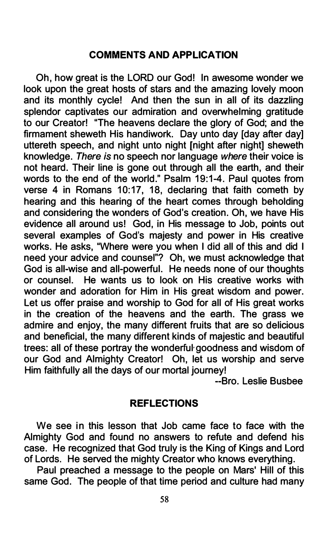### COMMENTS AND APPLICATION

Oh, how great is the LORD our God! In awesome wonder we look upon the great hosts of stars and the amazing lovely moon and its monthly cycle! And then the sun in all of its dazzling splendor captivates our admiration and overwhelming gratitude to our Creator! "The heavens declare the glory of God; and the firmament sheweth His handiwork. Day unto day Iday after day] uttereth speech, and night unto night [night after night] sheweth knowledge. There is no speech nor language where their voice is not heard. Their line is gone out through all the earth, and their words to the end of the world." Psalm 19:1-4. Paul quotes from verse 4 in Romans 10:17, 18, declaring that faith cometh by hearing and this hearing of the heart comes through beholding and considering the wonders of God's creation. Oh, we have His evidence all around us! God, in His message to Job, points out several examples of God's majesty and power in His creative works. He asks, "Where were you when I did all of this and did I need your advice and counsel"? Oh, we must acknowledge that God is all-wise and all-powerful. He needs none of our thoughts or counsel. He wants us to look on His creative works with wonder and adoration for Him in His great wisdom and power. Let us offer praise and worship to God for all of His great works in the creation of the heavens and the earth. The grass we admire and enjoy, the many different fruits that are so delicious and beneficial, the many different kinds of majestic and beautiful trees: all of these portray the wonderful· goodness and wisdom of our God and Almighty Creator! Oh, let us worship and serve Him faithfully all the days of our mortal journey!

--Bro. Leslie Busbee

#### **REFLECTIONS**

We see in this lesson that Job came face to face with the Almighty God and found no answers to refute and defend his case. He recognized that God truly is the King of Kings and Lord of Lords. He served the mighty Creator who knows everything.

Paul preached a message to the people on Mars' Hill of this same God. The people of that time period and culture had many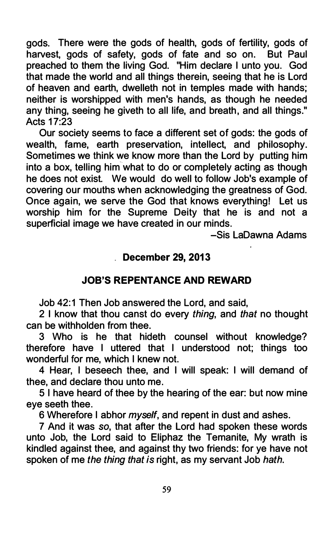gods. There were the gods of health, gods of fertility, gods of harvest, gods of safety, gods of fate and so on. But Paul preached to them the living God. "Him declare I unto you. God that made the world and all things therein, seeing that he is Lord of heaven and earth, dwelleth not in temples made with hands; neither is worshipped with men's hands, as though he needed any thing, seeing he giveth to all life, and breath, and all things." Acts 17:23

Our society seems to face a different set of gods: the gods of wealth, fame, earth preservation, intellect, and philosophy. Sometimes we think we know more than the Lord by putting him into a box, telling him what to do or completely acting as though he does not exist. We would do well to follow Job's example of covering our mouths when acknowledging the greatness of God. Once again, we serve the God that knows everything! Let us worship him for the Supreme Deity that he is and not a superficial image we have created in our minds.

-Sis LaDawna Adams

# December 29, 2013

# JOB'S REPENTANCE AND REWARD

Job 42:1 Then Job answered the Lord, and said,

2 I know that thou canst do every thing, and that no thought can be withholden from thee.

3 Who is he that hideth counsel without knowledge? therefore have I uttered that I understood not; things too wonderful for me, which I knew not.

4 Hear, I beseech thee, and I will speak: I will demand of thee, and declare thou unto me.

5 I have heard of thee by the hearing of the ear: but now mine eye seeth thee.

6 Wherefore I abhor myself, and repent in dust and ashes.

7 And it was so, that after the Lord had spoken these words unto Job, the Lord said to Eliphaz the Temanite, My wrath is kindled against thee, and against thy two friends: for ye have not spoken of me the thing that is right, as my servant Job hath.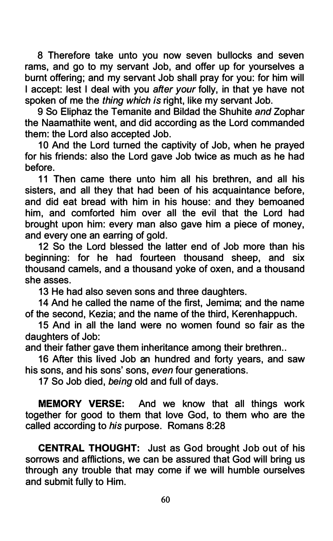8 Therefore take unto you now seven bullocks and seven rams, and go to my servant Job, and offer up for yourselves a burnt offering; and my servant Job shall pray for you: for him will I accept: lest I deal with you after your folly, in that ye have not spoken of me the thing which is right, like my servant Job.

9 So Eliphaz the Temanite and Bildad the Shuhite and Zophar the Naamathite went, and did according as the Lord commanded them: the Lord also accepted Job.

10 And the Lord turned the captivity of Job, when he prayed for his friends: also the Lord gave Job twice as much as he had before.

11 Then came there unto him all his brethren, and all his sisters, and all they that had been of his acquaintance before, and did eat bread with him in his house: and they bemoaned him, and comforted him over all the evil that the Lord had brought upon him: every man also gave him a piece of money, and every one an earring of gold.

12 So the Lord blessed the latter end of Job more than his beginning: for he had fourteen thousand sheep, and six thousand camels, and a thousand yoke of oxen, and a thousand she asses.

13 He had also seven sons and three daughters.

14 And he called the name of the first, Jemima; and the name of the second, Kezia; and the name of the third, Kerenhappuch.

15 And in all the land were no women found so fair as the daughters of Job:

and their father gave them inheritance among their brethren..

16 After this lived Job an hundred and forty years, and saw his sons, and his sons' sons, even four generations.

17 So Job died, being old and full of days.

MEMORY VERSE: And we know that all things work together for good to them that love God, to them who are the called according to his purpose. Romans 8:28

CENTRAL THOUGHT: Just as God brought Job out of his sorrows and afflictions, we can be assured that God will bring us through any trouble that may come if we will humble ourselves and submit fully to Him.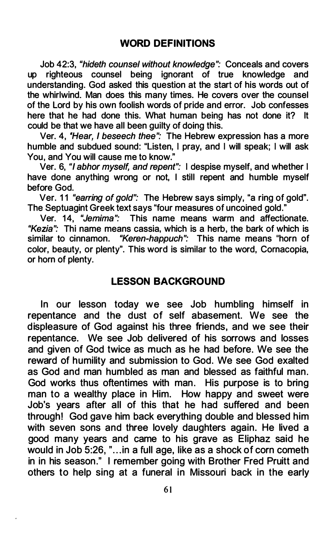# WORD DEFINITIONS

Job 42:3, "hideth counsel without knowledge": Conceals and covers up righteous counsel being ignorant of true knowledge and understanding. God asked this question at the start of his words out of the whirlwind. Man does this many times. He covers over the counsel of the Lord by his own foolish words of pride and error. Job confesses here that he had done this. What human being has not done it? It could be that we have all been guilty of doing this.

Ver. 4, 'Hear, I beseech thee": The Hebrew expression has a more humble and subdued sound: "Listen, I pray, and I will speak; I will ask You, and You will cause me to know."

Ver. 6, "I abhor myself, and repent": I despise myself, and whether I have done anything wrong or not, I still repent and humble myself before God.

Ver. 11 "earring of gold": The Hebrew says simply, "a ring of gold". The Septuagint Greek text says "four measures of uncoined gold."

Ver. 14, "Jemima": This name means warm and affectionate. "Kezia": Thi name means cassia, which is a herb, the bark of which is similar to cinnamon. "Keren-happuch": This name means "horn of color, beauty, or plenty". This word is similar to the word, Cornacopia, or horn of plenty.

# LESSON BACKGROUND

In our lesson today we see Job humbling himself in repentance and the dust of self abasement. We see the displeasure of God against his three friends, and we see their repentance. We see Job delivered of his sorrows and losses and given of God twice as much as he had before. We see the reward of humility and submission to God. We see God exalted as God and man humbled as man and blessed as faithful man. God works thus oftentimes with man. His purpose is to bring man to a wealthy place in Him. How happy and sweet were Job's years after all of this that he had suffered and been through! God gave him back everything double and blessed him with seven sons and three lovely daughters again. He lived a good many years and came to his grave as Eliphaz said he would in Job 5:26, "...in a full age, like as a shock of corn cometh in in his season." I remember going with Brother Fred Pruitt and others to help sing at a funeral in Missouri back in the early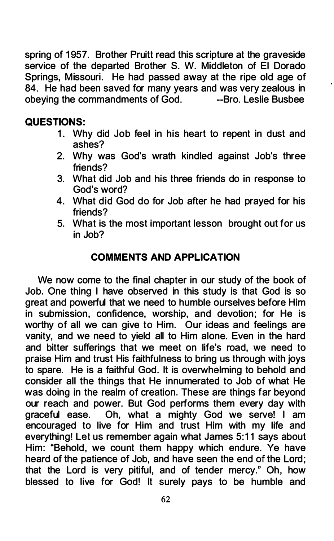spring of 1957. Brother Pruitt read this scripture at the graveside service of the departed Brother S. W. Middleton of El Dorado Springs, Missouri. He had passed away at the ripe old age of 84. He had been saved for many years and was very zealous in obeying the commandments of God. -- Bro. Leslie Busbee obeving the commandments of  $God$ .

# QUESTIONS:

- 1. Why did Job feel in his heart to repent in dust and ashes?
- 2. Why was God's wrath kindled against Job's three friends?
- 3. What did Job and his three friends do in response to God's word?
- 4. What did God do for Job after he had prayed for his friends?
- 5. What is the most important lesson brought out for us in Job?

# COMMENTS AND APPLICATION

We now come to the final chapter in our study of the book of Job. One thing I have observed in this study is that God is so great and powerful that we need to humble ourselves before Him in submission, confidence, worship, and devotion; for He is worthy of all we can give to Him. Our ideas and feelings are vanity, and we need to yield all to Him alone. Even in the hard and bitter sufferings that we meet on life's road, we need to praise Him and trust His faithfulness to bring us through with joys to spare. He is a faithful God. It is overwhelming to behold and consider all the things that He innumerated to Job of what He was doing in the realm of creation. These are things far beyond our reach and power. But God performs them every day with graceful ease. Oh, what a mighty God we serve! I am Oh, what a mighty God we serve! I am encouraged to live for Him and trust Him with my life and everything! Let us remember again what James 5:11 says about Him: "Behold, we count them happy which endure. Ye have heard of the patience of Job, and have seen the end of the Lord; that the Lord is very pitiful, and of tender mercy." Oh, how blessed to live for God! It surely pays to be humble and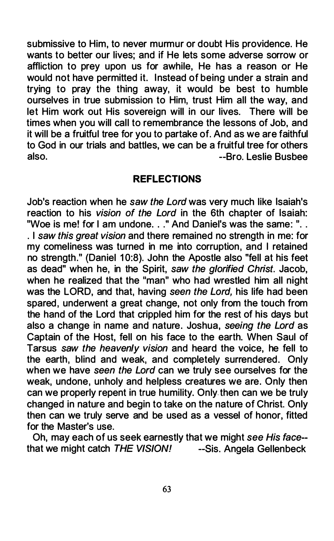submissive to Him, to never murmur or doubt His providence. He wants to better our lives; and if He lets some adverse sorrow or affliction to prey upon us for awhile, He has a reason or He would not have permitted it. Instead of being under a strain and trying to pray the thing away, it would be best to humble ourselves in true submission to Him, trust Him all the way, and let Him work out His sovereign will in our lives. There will be times when you will call to remembrance the lessons of Job, and it will be a fruitful tree for you to partake of. And as we are faithful to God in our trials and battles, we can be a fruitful tree for others also. --Bro. Leslie Busbee

### REFLECTIONS

Job's reaction when he saw the Lord was very much like Isaiah's reaction to his vision of the Lord in the 6th chapter of Isaiah: "Woe is me! for I am undone. . ." And Daniel's was the same: ". . . I saw this great vision and there remained no strength in me: for my comeliness was turned in me into corruption, and I retained no strength." (Daniel 10:8). John the Apostle also "fell at his feet as dead" when he, in the Spirit, saw the glorified Christ. Jacob, when he realized that the "man" who had wrestled him all night was the LORD, and that, having seen the Lord, his life had been spared, underwent a great change, not only from the touch from the hand of the Lord that crippled him for the rest of his days but also a change in name and nature. Joshua, seeing the Lord as Captain of the Host, fell on his face to the earth. When Saul of Tarsus saw the heavenly vision and heard the voice, he fell to the earth, blind and weak, and completely surrendered. Only when we have seen the Lord can we truly see ourselves for the weak, undone, unholy and helpless creatures we are. Only then can we properly repent in true humility. Only then can we be truly changed in nature and begin to take on the nature of Christ. Only then can we truly serve and be used as a vessel of honor, fitted for the Master's use.

Oh, may each of us seek earnestly that we might see His face- that we might catch  $THE VISION!$  --Sis. Angela Gellenbeck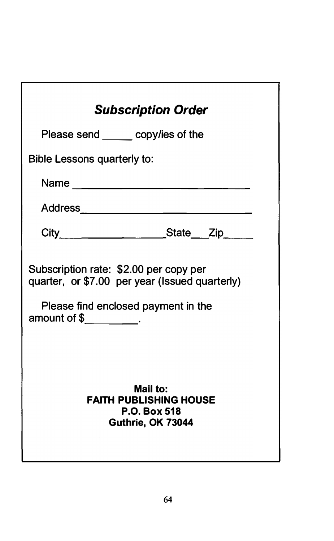| <b>Subscription Order</b>                                        |
|------------------------------------------------------------------|
| Please send ______ copy/ies of the                               |
| <b>Bible Lessons quarterly to:</b>                               |
|                                                                  |
|                                                                  |
| City________________________State____Zip____                     |
| Subscription rate: \$2.00 per copy per                           |
| quarter, or \$7.00 per year (Issued quarterly)                   |
| Please find enclosed payment in the<br>amount of $\frac{1}{2}$ . |
|                                                                  |
| <b>Mail to:</b><br><b>FAITH PUBLISHING HOUSE</b>                 |
| P.O. Box 518<br>Guthrie, OK 73044                                |